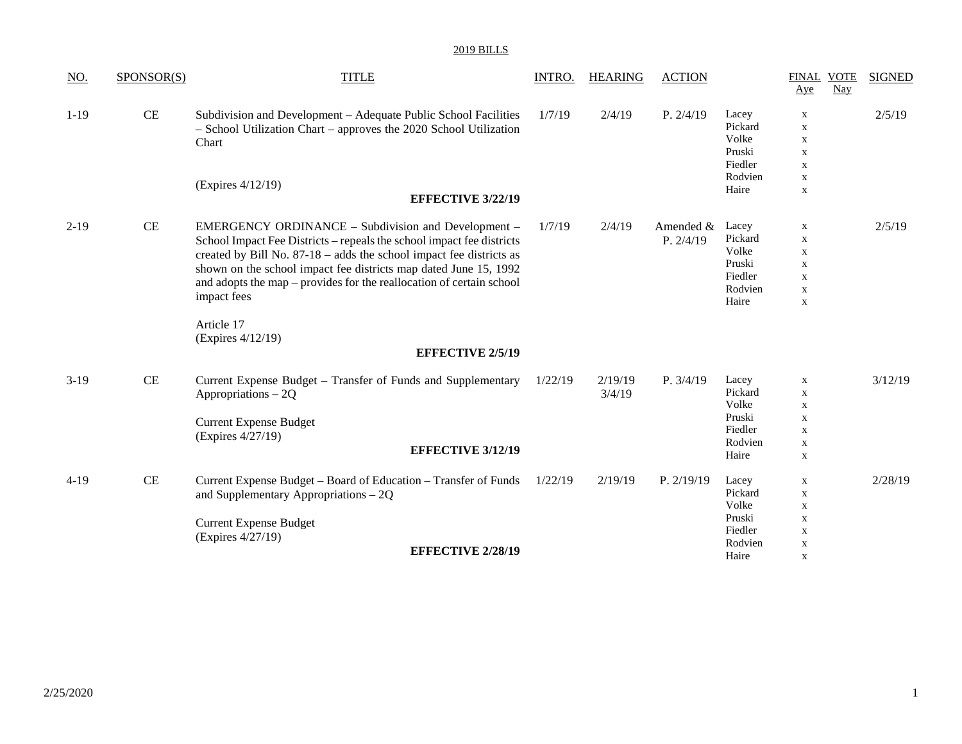| NO.    | SPONSOR(S) | <b>TITLE</b>                                                                                                                                                                                                                                                                                                                                                   | INTRO.  | <b>HEARING</b>    | <b>ACTION</b>          |                                                                    | <b>FINAL VOTE</b><br>Aye                                                                              | Nay | <b>SIGNED</b> |
|--------|------------|----------------------------------------------------------------------------------------------------------------------------------------------------------------------------------------------------------------------------------------------------------------------------------------------------------------------------------------------------------------|---------|-------------------|------------------------|--------------------------------------------------------------------|-------------------------------------------------------------------------------------------------------|-----|---------------|
| $1-19$ | CE         | Subdivision and Development – Adequate Public School Facilities<br>- School Utilization Chart - approves the 2020 School Utilization<br>Chart<br>(Expires 4/12/19)                                                                                                                                                                                             | 1/7/19  | 2/4/19            | P. 2/4/19              | Lacey<br>Pickard<br>Volke<br>Pruski<br>Fiedler<br>Rodvien<br>Haire | $\mathbf X$<br>$\mathbf X$<br>$\mathbf X$<br>$\mathbf x$<br>$\mathbf X$<br>$\mathbf X$<br>$\mathbf X$ |     | 2/5/19        |
|        |            | <b>EFFECTIVE 3/22/19</b>                                                                                                                                                                                                                                                                                                                                       |         |                   |                        |                                                                    |                                                                                                       |     |               |
| $2-19$ | CE         | EMERGENCY ORDINANCE – Subdivision and Development –<br>School Impact Fee Districts – repeals the school impact fee districts<br>created by Bill No. 87-18 – adds the school impact fee districts as<br>shown on the school impact fee districts map dated June 15, 1992<br>and adopts the map – provides for the reallocation of certain school<br>impact fees | 1/7/19  | 2/4/19            | Amended &<br>P. 2/4/19 | Lacey<br>Pickard<br>Volke<br>Pruski<br>Fiedler<br>Rodvien<br>Haire | $\mathbf x$<br>$\mathbf x$<br>$\mathbf x$<br>$\mathbf X$<br>$\mathbf x$<br>$\mathbf X$<br>$\mathbf X$ |     | 2/5/19        |
|        |            | Article 17<br>(Expires 4/12/19)<br><b>EFFECTIVE 2/5/19</b>                                                                                                                                                                                                                                                                                                     |         |                   |                        |                                                                    |                                                                                                       |     |               |
| $3-19$ | CE         | Current Expense Budget – Transfer of Funds and Supplementary<br>Appropriations $-2Q$<br><b>Current Expense Budget</b><br>(Expires 4/27/19)<br><b>EFFECTIVE 3/12/19</b>                                                                                                                                                                                         | 1/22/19 | 2/19/19<br>3/4/19 | P. 3/4/19              | Lacey<br>Pickard<br>Volke<br>Pruski<br>Fiedler<br>Rodvien<br>Haire | $\mathbf X$<br>$\mathbf X$<br>$\mathbf X$<br>$\mathbf X$<br>$\mathbf X$<br>$\mathbf X$<br>$\mathbf x$ |     | 3/12/19       |
| $4-19$ | CE         | Current Expense Budget - Board of Education - Transfer of Funds<br>and Supplementary Appropriations $-2Q$<br><b>Current Expense Budget</b><br>(Expires 4/27/19)<br><b>EFFECTIVE 2/28/19</b>                                                                                                                                                                    | 1/22/19 | 2/19/19           | P. 2/19/19             | Lacey<br>Pickard<br>Volke<br>Pruski<br>Fiedler<br>Rodvien          | $\mathbf x$<br>$\mathbf x$<br>$\mathbf X$<br>$\mathbf X$<br>$\mathbf x$<br>$\mathbf X$                |     | 2/28/19       |
|        |            |                                                                                                                                                                                                                                                                                                                                                                |         |                   |                        | Haire                                                              | X                                                                                                     |     |               |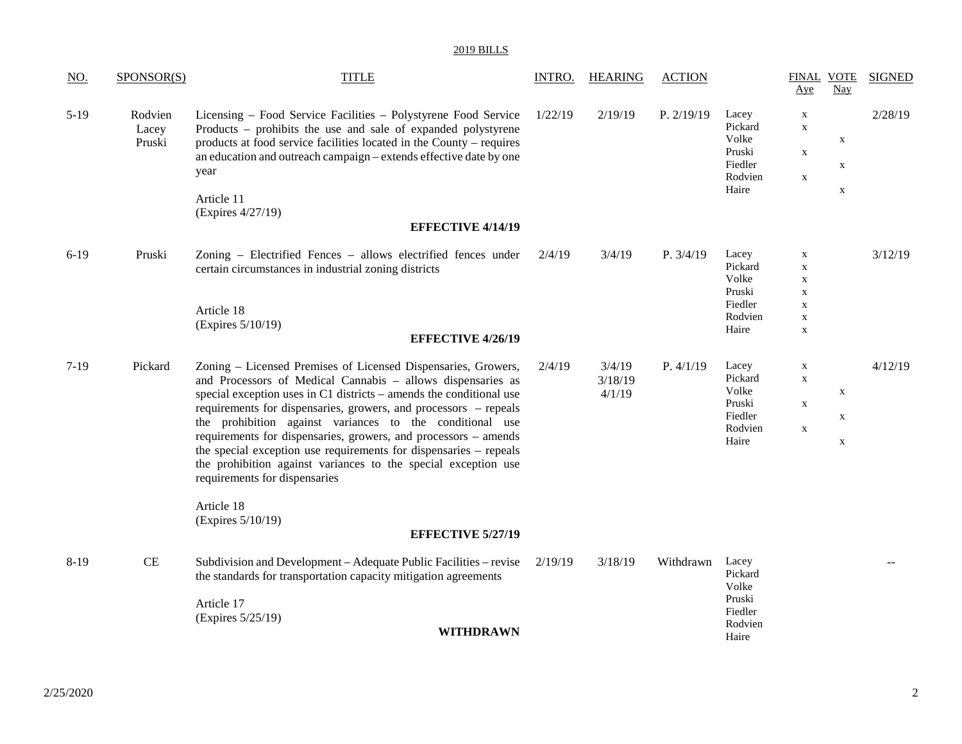| <u>NO.</u> | SPONSOR(S)                 | <b>TITLE</b>                                                                                                                                                                                                                                                                                                                                                                                                                                                                                                                                                                   | INTRO.  | <b>HEARING</b>              | <b>ACTION</b> |                                                                    | Aye                                                                                                   | <b>FINAL VOTE</b><br>Nay                  | <b>SIGNED</b> |
|------------|----------------------------|--------------------------------------------------------------------------------------------------------------------------------------------------------------------------------------------------------------------------------------------------------------------------------------------------------------------------------------------------------------------------------------------------------------------------------------------------------------------------------------------------------------------------------------------------------------------------------|---------|-----------------------------|---------------|--------------------------------------------------------------------|-------------------------------------------------------------------------------------------------------|-------------------------------------------|---------------|
| $5-19$     | Rodvien<br>Lacey<br>Pruski | Licensing – Food Service Facilities – Polystyrene Food Service<br>Products – prohibits the use and sale of expanded polystyrene<br>products at food service facilities located in the County – requires<br>an education and outreach campaign – extends effective date by one<br>year<br>Article 11<br>(Expires 4/27/19)                                                                                                                                                                                                                                                       | 1/22/19 | 2/19/19                     | P. 2/19/19    | Lacey<br>Pickard<br>Volke<br>Pruski<br>Fiedler<br>Rodvien<br>Haire | $\mathbf X$<br>$\mathbf X$<br>$\mathbf X$<br>$\mathbf X$                                              | $\mathbf X$<br>$\mathbf X$<br>$\mathbf X$ | 2/28/19       |
|            |                            | <b>EFFECTIVE 4/14/19</b>                                                                                                                                                                                                                                                                                                                                                                                                                                                                                                                                                       |         |                             |               |                                                                    |                                                                                                       |                                           |               |
| $6-19$     | Pruski                     | Zoning - Electrified Fences - allows electrified fences under<br>certain circumstances in industrial zoning districts<br>Article 18<br>(Expires 5/10/19)<br><b>EFFECTIVE 4/26/19</b>                                                                                                                                                                                                                                                                                                                                                                                           | 2/4/19  | 3/4/19                      | P. 3/4/19     | Lacey<br>Pickard<br>Volke<br>Pruski<br>Fiedler<br>Rodvien<br>Haire | $\mathbf x$<br>$\mathbf X$<br>$\mathbf X$<br>$\mathbf X$<br>$\mathbf X$<br>$\mathbf X$<br>$\mathbf X$ |                                           | 3/12/19       |
|            |                            |                                                                                                                                                                                                                                                                                                                                                                                                                                                                                                                                                                                |         |                             |               |                                                                    |                                                                                                       |                                           |               |
| $7-19$     | Pickard                    | Zoning - Licensed Premises of Licensed Dispensaries, Growers,<br>and Processors of Medical Cannabis - allows dispensaries as<br>special exception uses in C1 districts – amends the conditional use<br>requirements for dispensaries, growers, and processors – repeals<br>the prohibition against variances to the conditional use<br>requirements for dispensaries, growers, and processors - amends<br>the special exception use requirements for dispensaries – repeals<br>the prohibition against variances to the special exception use<br>requirements for dispensaries | 2/4/19  | 3/4/19<br>3/18/19<br>4/1/19 | P. 4/1/19     | Lacey<br>Pickard<br>Volke<br>Pruski<br>Fiedler<br>Rodvien<br>Haire | $\mathbf X$<br>$\mathbf X$<br>$\mathbf X$<br>$\mathbf X$                                              | X<br>$\mathbf X$<br>$\mathbf X$           | 4/12/19       |
|            |                            | Article 18<br>(Expires 5/10/19)<br><b>EFFECTIVE 5/27/19</b>                                                                                                                                                                                                                                                                                                                                                                                                                                                                                                                    |         |                             |               |                                                                    |                                                                                                       |                                           |               |
| $8-19$     | CE                         | Subdivision and Development - Adequate Public Facilities - revise<br>the standards for transportation capacity mitigation agreements<br>Article 17<br>(Expires 5/25/19)<br><b>WITHDRAWN</b>                                                                                                                                                                                                                                                                                                                                                                                    | 2/19/19 | 3/18/19                     | Withdrawn     | Lacey<br>Pickard<br>Volke<br>Pruski<br>Fiedler<br>Rodvien<br>Haire |                                                                                                       |                                           |               |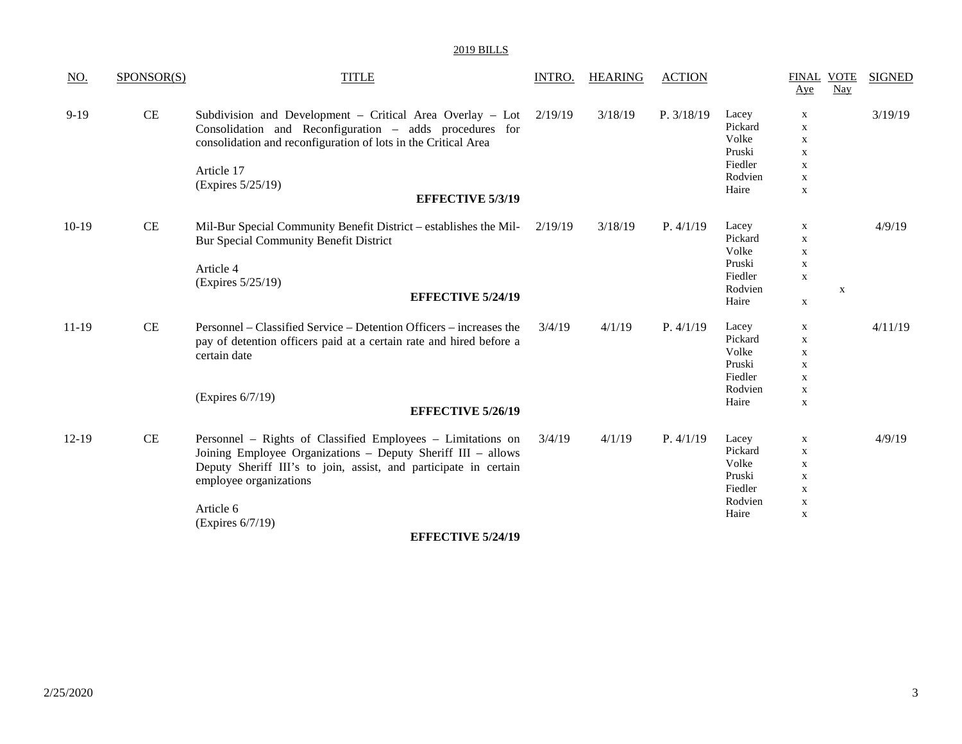| $\underline{\mathrm{NO}}$ . | SPONSOR(S) | <b>TITLE</b>                                                                                                                                                                                                                                                   | <b>INTRO.</b> | <b>HEARING</b> | <b>ACTION</b> |                                                                    | <b>FINAL VOTE</b><br>Aye                                                                               | Nay         | <b>SIGNED</b> |
|-----------------------------|------------|----------------------------------------------------------------------------------------------------------------------------------------------------------------------------------------------------------------------------------------------------------------|---------------|----------------|---------------|--------------------------------------------------------------------|--------------------------------------------------------------------------------------------------------|-------------|---------------|
| $9-19$                      | <b>CE</b>  | Subdivision and Development - Critical Area Overlay - Lot $2/19/19$<br>Consolidation and Reconfiguration - adds procedures for<br>consolidation and reconfiguration of lots in the Critical Area<br>Article 17<br>(Expires 5/25/19)<br><b>EFFECTIVE 5/3/19</b> |               | 3/18/19        | P. 3/18/19    | Lacey<br>Pickard<br>Volke<br>Pruski<br>Fiedler<br>Rodvien<br>Haire | $\mathbf x$<br>$\mathbf X$<br>$\mathbf X$<br>$\mathbf{x}$<br>$\mathbf X$<br>$\mathbf X$<br>$\mathbf X$ |             | 3/19/19       |
| $10-19$                     | CE         | Mil-Bur Special Community Benefit District - establishes the Mil-<br>Bur Special Community Benefit District<br>Article 4<br>(Expires 5/25/19)<br><b>EFFECTIVE 5/24/19</b>                                                                                      | 2/19/19       | 3/18/19        | P. 4/1/19     | Lacey<br>Pickard<br>Volke<br>Pruski<br>Fiedler<br>Rodvien<br>Haire | $\mathbf x$<br>$\mathbf{X}$<br>$\mathbf{X}$<br>$\mathbf x$<br>$\mathbf X$<br>$\mathbf X$               | $\mathbf X$ | 4/9/19        |
| 11-19                       | CE         | Personnel – Classified Service – Detention Officers – increases the<br>pay of detention officers paid at a certain rate and hired before a<br>certain date<br>(Expires 6/7/19)<br><b>EFFECTIVE 5/26/19</b>                                                     | 3/4/19        | 4/1/19         | P. 4/1/19     | Lacey<br>Pickard<br>Volke<br>Pruski<br>Fiedler<br>Rodvien<br>Haire | $\mathbf x$<br>$\mathbf x$<br>$\mathbf X$<br>$\mathbf X$<br>$\mathbf X$<br>$\mathbf X$<br>$\mathbf X$  |             | 4/11/19       |
| $12-19$                     | <b>CE</b>  | Personnel - Rights of Classified Employees - Limitations on<br>Joining Employee Organizations - Deputy Sheriff III - allows<br>Deputy Sheriff III's to join, assist, and participate in certain<br>employee organizations<br>Article 6<br>(Expires 6/7/19)     | 3/4/19        | 4/1/19         | P. 4/1/19     | Lacey<br>Pickard<br>Volke<br>Pruski<br>Fiedler<br>Rodvien<br>Haire | $\mathbf X$<br>$\mathbf{X}$<br>$\mathbf X$<br>$\mathbf X$<br>$\mathbf X$<br>$\mathbf x$<br>$\mathbf X$ |             | 4/9/19        |

**EFFECTIVE 5/24/19**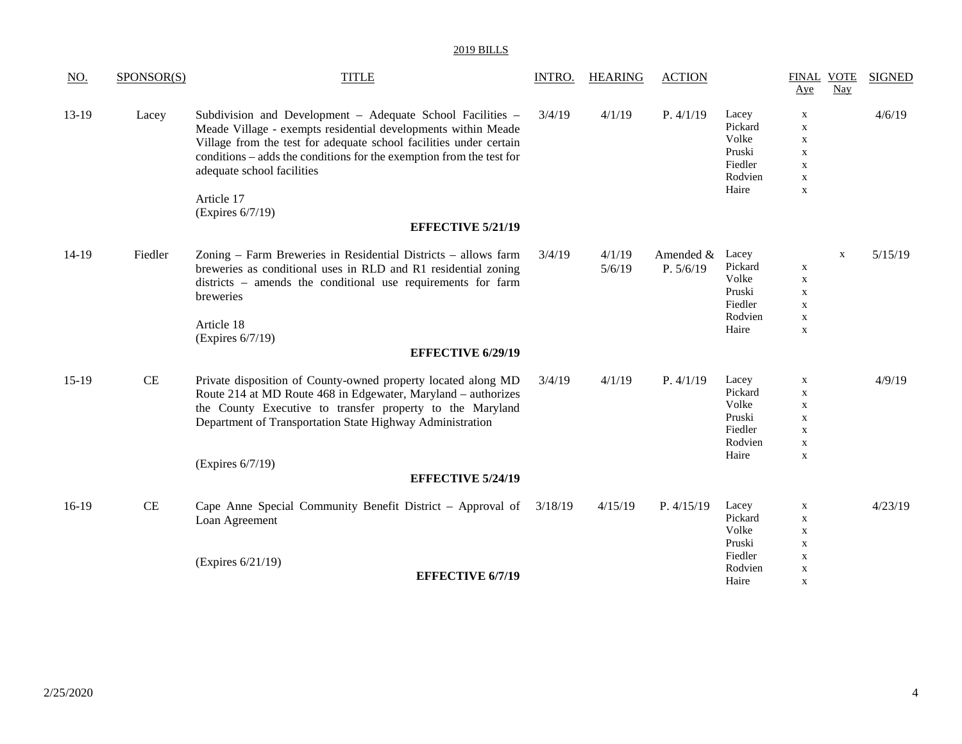| $\underline{\mathrm{NO}}$ . | SPONSOR(S) | <b>TITLE</b>                                                                                                                                                                                                                                                                                                                              | <b>INTRO.</b> | <b>HEARING</b>   | <b>ACTION</b>            |                                                                    | FINAL VOTE<br>Aye                                                                                     | Nay         | <b>SIGNED</b> |
|-----------------------------|------------|-------------------------------------------------------------------------------------------------------------------------------------------------------------------------------------------------------------------------------------------------------------------------------------------------------------------------------------------|---------------|------------------|--------------------------|--------------------------------------------------------------------|-------------------------------------------------------------------------------------------------------|-------------|---------------|
| 13-19                       | Lacey      | Subdivision and Development - Adequate School Facilities -<br>Meade Village - exempts residential developments within Meade<br>Village from the test for adequate school facilities under certain<br>conditions – adds the conditions for the exemption from the test for<br>adequate school facilities<br>Article 17<br>(Expires 6/7/19) | 3/4/19        | 4/1/19           | P. 4/1/19                | Lacey<br>Pickard<br>Volke<br>Pruski<br>Fiedler<br>Rodvien<br>Haire | $\mathbf X$<br>$\mathbf X$<br>$\mathbf X$<br>$\mathbf X$<br>$\mathbf X$<br>$\mathbf X$<br>$\mathbf X$ |             | 4/6/19        |
|                             |            | <b>EFFECTIVE 5/21/19</b>                                                                                                                                                                                                                                                                                                                  |               |                  |                          |                                                                    |                                                                                                       |             |               |
| 14-19                       | Fiedler    | Zoning – Farm Breweries in Residential Districts – allows farm<br>breweries as conditional uses in RLD and R1 residential zoning<br>districts – amends the conditional use requirements for farm<br>breweries<br>Article 18<br>(Expires 6/7/19)<br><b>EFFECTIVE 6/29/19</b>                                                               | 3/4/19        | 4/1/19<br>5/6/19 | Amended $&$<br>P. 5/6/19 | Lacey<br>Pickard<br>Volke<br>Pruski<br>Fiedler<br>Rodvien<br>Haire | $\mathbf X$<br>$\mathbf X$<br>$\mathbf X$<br>$\mathbf X$<br>$\mathbf X$<br>$\mathbf X$                | $\mathbf X$ | 5/15/19       |
| $15-19$                     | $\rm CE$   | Private disposition of County-owned property located along MD<br>Route 214 at MD Route 468 in Edgewater, Maryland - authorizes<br>the County Executive to transfer property to the Maryland<br>Department of Transportation State Highway Administration<br>(Expires 6/7/19)<br><b>EFFECTIVE 5/24/19</b>                                  | 3/4/19        | 4/1/19           | P. 4/1/19                | Lacey<br>Pickard<br>Volke<br>Pruski<br>Fiedler<br>Rodvien<br>Haire | X<br>$\mathbf X$<br>$\mathbf X$<br>$\mathbf X$<br>$\mathbf X$<br>$\mathbf X$<br>$\mathbf X$           |             | 4/9/19        |
| 16-19                       | <b>CE</b>  | Cape Anne Special Community Benefit District – Approval of<br>Loan Agreement                                                                                                                                                                                                                                                              | 3/18/19       | 4/15/19          | P. 4/15/19               | Lacey<br>Pickard<br>Volke<br>Pruski                                | X<br>$\mathbf X$<br>$\mathbf X$<br>$\mathbf X$                                                        |             | 4/23/19       |
|                             |            | (Expires 6/21/19)<br><b>EFFECTIVE 6/7/19</b>                                                                                                                                                                                                                                                                                              |               |                  |                          | Fiedler<br>Rodvien<br>Haire                                        | $\mathbf X$<br>$\mathbf x$<br>X                                                                       |             |               |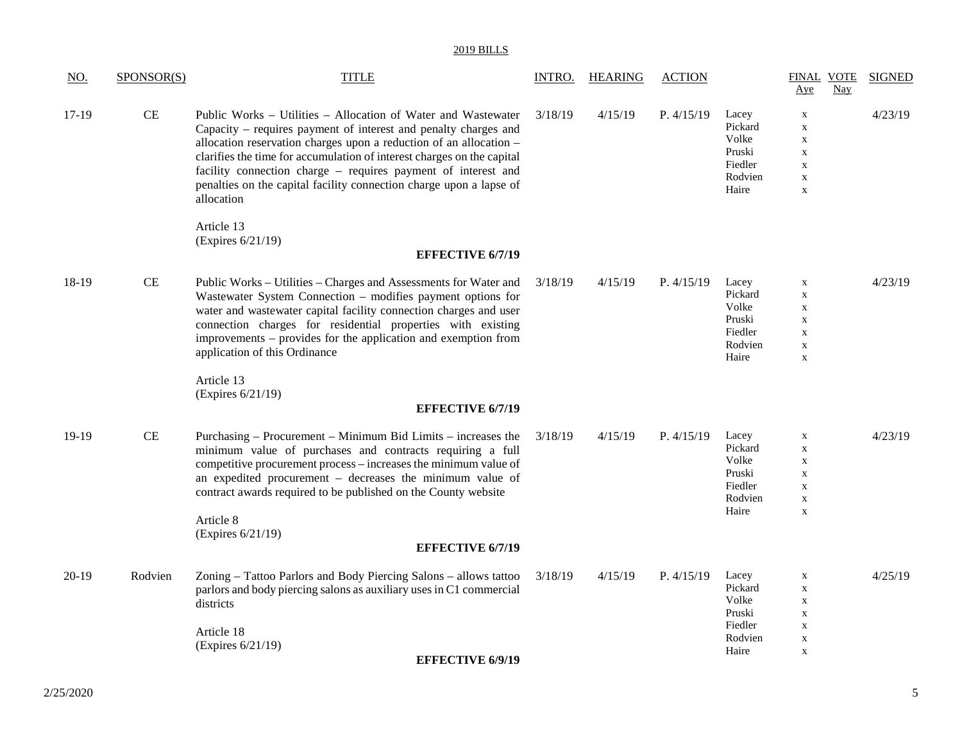| <u>NO.</u> | SPONSOR(S) | <b>TITLE</b>                                                                                                                                                                                                                                                                                                                                                                                                                           | INTRO.  | <b>HEARING</b> | <b>ACTION</b> |                                                                    | <b>FINAL VOTE</b><br>Nay<br>Aye                                                                                     | <b>SIGNED</b> |
|------------|------------|----------------------------------------------------------------------------------------------------------------------------------------------------------------------------------------------------------------------------------------------------------------------------------------------------------------------------------------------------------------------------------------------------------------------------------------|---------|----------------|---------------|--------------------------------------------------------------------|---------------------------------------------------------------------------------------------------------------------|---------------|
| 17-19      | CE         | Public Works - Utilities - Allocation of Water and Wastewater<br>Capacity – requires payment of interest and penalty charges and<br>allocation reservation charges upon a reduction of an allocation -<br>clarifies the time for accumulation of interest charges on the capital<br>facility connection charge - requires payment of interest and<br>penalties on the capital facility connection charge upon a lapse of<br>allocation | 3/18/19 | 4/15/19        | P. 4/15/19    | Lacey<br>Pickard<br>Volke<br>Pruski<br>Fiedler<br>Rodvien<br>Haire | $\boldsymbol{\mathrm{X}}$<br>$\mathbf X$<br>$\mathbf X$<br>$\mathbf X$<br>$\mathbf X$<br>$\mathbf X$<br>$\mathbf X$ | 4/23/19       |
|            |            | Article 13<br>(Expires 6/21/19)<br><b>EFFECTIVE 6/7/19</b>                                                                                                                                                                                                                                                                                                                                                                             |         |                |               |                                                                    |                                                                                                                     |               |
| 18-19      | <b>CE</b>  | Public Works - Utilities - Charges and Assessments for Water and<br>Wastewater System Connection - modifies payment options for<br>water and wastewater capital facility connection charges and user<br>connection charges for residential properties with existing<br>improvements – provides for the application and exemption from<br>application of this Ordinance                                                                 | 3/18/19 | 4/15/19        | P. 4/15/19    | Lacey<br>Pickard<br>Volke<br>Pruski<br>Fiedler<br>Rodvien<br>Haire | $\mathbf X$<br>$\mathbf X$<br>$\mathbf X$<br>$\mathbf X$<br>$\mathbf X$<br>$\mathbf X$<br>$\mathbf X$               | 4/23/19       |
|            |            | Article 13<br>(Expires 6/21/19)<br><b>EFFECTIVE 6/7/19</b>                                                                                                                                                                                                                                                                                                                                                                             |         |                |               |                                                                    |                                                                                                                     |               |
| 19-19      | CE         | Purchasing – Procurement – Minimum Bid Limits – increases the<br>minimum value of purchases and contracts requiring a full<br>competitive procurement process – increases the minimum value of<br>an expedited procurement - decreases the minimum value of<br>contract awards required to be published on the County website<br>Article 8<br>(Expires 6/21/19)                                                                        | 3/18/19 | 4/15/19        | P. 4/15/19    | Lacey<br>Pickard<br>Volke<br>Pruski<br>Fiedler<br>Rodvien<br>Haire | $\mathbf X$<br>$\mathbf X$<br>$\mathbf X$<br>$\mathbf X$<br>$\mathbf X$<br>$\mathbf X$<br>$\mathbf X$               | 4/23/19       |
|            |            | <b>EFFECTIVE 6/7/19</b>                                                                                                                                                                                                                                                                                                                                                                                                                |         |                |               |                                                                    |                                                                                                                     |               |
| $20-19$    | Rodvien    | Zoning - Tattoo Parlors and Body Piercing Salons - allows tattoo<br>parlors and body piercing salons as auxiliary uses in C1 commercial<br>districts<br>Article 18<br>(Expires 6/21/19)<br><b>EFFECTIVE 6/9/19</b>                                                                                                                                                                                                                     | 3/18/19 | 4/15/19        | P. 4/15/19    | Lacey<br>Pickard<br>Volke<br>Pruski<br>Fiedler<br>Rodvien<br>Haire | X<br>$\mathbf X$<br>$\mathbf X$<br>$\mathbf X$<br>$\mathbf X$<br>$\mathbf X$<br>$\mathbf X$                         | 4/25/19       |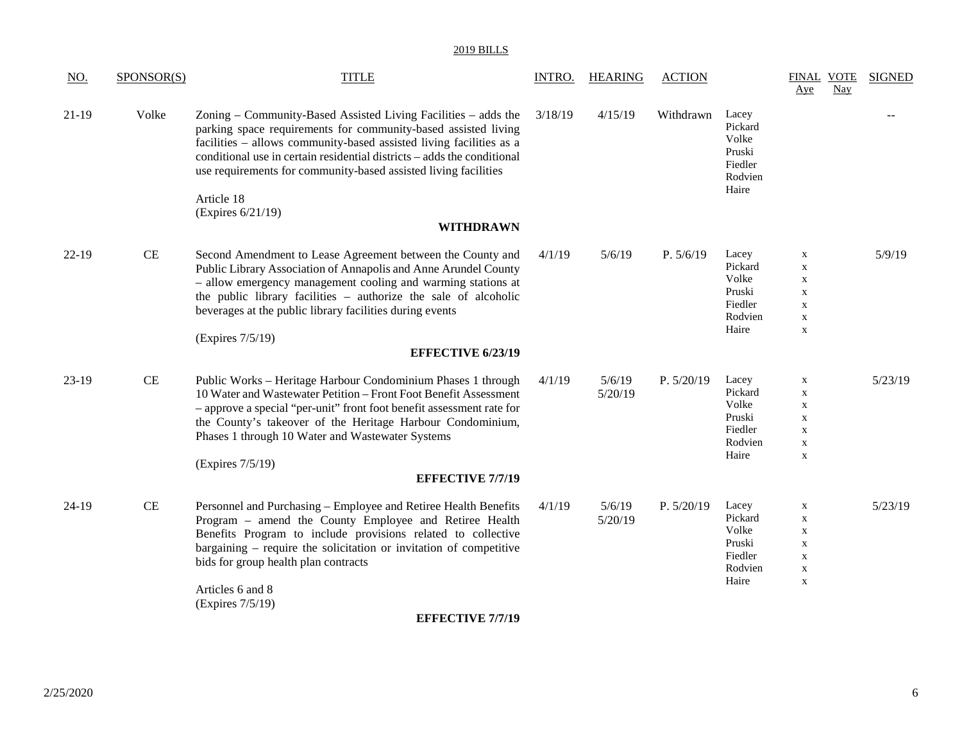| <u>NO.</u>       | SPONSOR(S) | <b>TITLE</b>                                                                                                                                                                                                                                                                                                                                                                                                                                                                                                                                                                              | INTRO.           | <b>HEARING</b>              | <b>ACTION</b>           |                                                                                                 | <b>FINAL VOTE</b><br>Aye                                                                                                                                                       | <b>Nay</b> | <b>SIGNED</b>     |
|------------------|------------|-------------------------------------------------------------------------------------------------------------------------------------------------------------------------------------------------------------------------------------------------------------------------------------------------------------------------------------------------------------------------------------------------------------------------------------------------------------------------------------------------------------------------------------------------------------------------------------------|------------------|-----------------------------|-------------------------|-------------------------------------------------------------------------------------------------|--------------------------------------------------------------------------------------------------------------------------------------------------------------------------------|------------|-------------------|
| $21-19$          | Volke      | Zoning – Community-Based Assisted Living Facilities – adds the<br>parking space requirements for community-based assisted living<br>facilities - allows community-based assisted living facilities as a<br>conditional use in certain residential districts – adds the conditional<br>use requirements for community-based assisted living facilities<br>Article 18                                                                                                                                                                                                                       | 3/18/19          | 4/15/19                     | Withdrawn               | Lacey<br>Pickard<br>Volke<br>Pruski<br>Fiedler<br>Rodvien<br>Haire                              |                                                                                                                                                                                |            |                   |
|                  |            | (Expires 6/21/19)<br><b>WITHDRAWN</b>                                                                                                                                                                                                                                                                                                                                                                                                                                                                                                                                                     |                  |                             |                         |                                                                                                 |                                                                                                                                                                                |            |                   |
|                  |            |                                                                                                                                                                                                                                                                                                                                                                                                                                                                                                                                                                                           |                  |                             |                         |                                                                                                 |                                                                                                                                                                                |            |                   |
| $22-19$<br>23-19 | CE<br>CE   | Second Amendment to Lease Agreement between the County and<br>Public Library Association of Annapolis and Anne Arundel County<br>- allow emergency management cooling and warming stations at<br>the public library facilities - authorize the sale of alcoholic<br>beverages at the public library facilities during events<br>(Expires 7/5/19)<br><b>EFFECTIVE 6/23/19</b><br>Public Works - Heritage Harbour Condominium Phases 1 through<br>10 Water and Wastewater Petition - Front Foot Benefit Assessment<br>- approve a special "per-unit" front foot benefit assessment rate for | 4/1/19<br>4/1/19 | 5/6/19<br>5/6/19<br>5/20/19 | P. 5/6/19<br>P. 5/20/19 | Lacey<br>Pickard<br>Volke<br>Pruski<br>Fiedler<br>Rodvien<br>Haire<br>Lacey<br>Pickard<br>Volke | $\mathbf X$<br>$\mathbf X$<br>$\boldsymbol{\mathrm{X}}$<br>$\mathbf X$<br>$\mathbf X$<br>$\mathbf X$<br>$\mathbf X$<br>$\boldsymbol{\mathrm{X}}$<br>$\mathbf X$<br>$\mathbf X$ |            | 5/9/19<br>5/23/19 |
|                  |            | the County's takeover of the Heritage Harbour Condominium,<br>Phases 1 through 10 Water and Wastewater Systems<br>(Expires 7/5/19)<br><b>EFFECTIVE 7/7/19</b>                                                                                                                                                                                                                                                                                                                                                                                                                             |                  |                             |                         | Pruski<br>Fiedler<br>Rodvien<br>Haire                                                           | $\boldsymbol{\mathrm{X}}$<br>$\mathbf X$<br>$\mathbf X$<br>$\mathbf X$                                                                                                         |            |                   |
| $24-19$          | CE         | Personnel and Purchasing - Employee and Retiree Health Benefits<br>Program - amend the County Employee and Retiree Health<br>Benefits Program to include provisions related to collective<br>bargaining – require the solicitation or invitation of competitive<br>bids for group health plan contracts<br>Articles 6 and 8<br>(Expires 7/5/19)                                                                                                                                                                                                                                           | 4/1/19           | 5/6/19<br>5/20/19           | P. 5/20/19              | Lacey<br>Pickard<br>Volke<br>Pruski<br>Fiedler<br>Rodvien<br>Haire                              | $\boldsymbol{\mathrm{X}}$<br>$\mathbf{X}$<br>$\boldsymbol{\mathrm{X}}$<br>$\boldsymbol{\mathrm{X}}$<br>$\mathbf X$<br>$\boldsymbol{\mathrm{X}}$<br>$\mathbf X$                 |            | 5/23/19           |
|                  |            | <b>EFFECTIVE 7/7/19</b>                                                                                                                                                                                                                                                                                                                                                                                                                                                                                                                                                                   |                  |                             |                         |                                                                                                 |                                                                                                                                                                                |            |                   |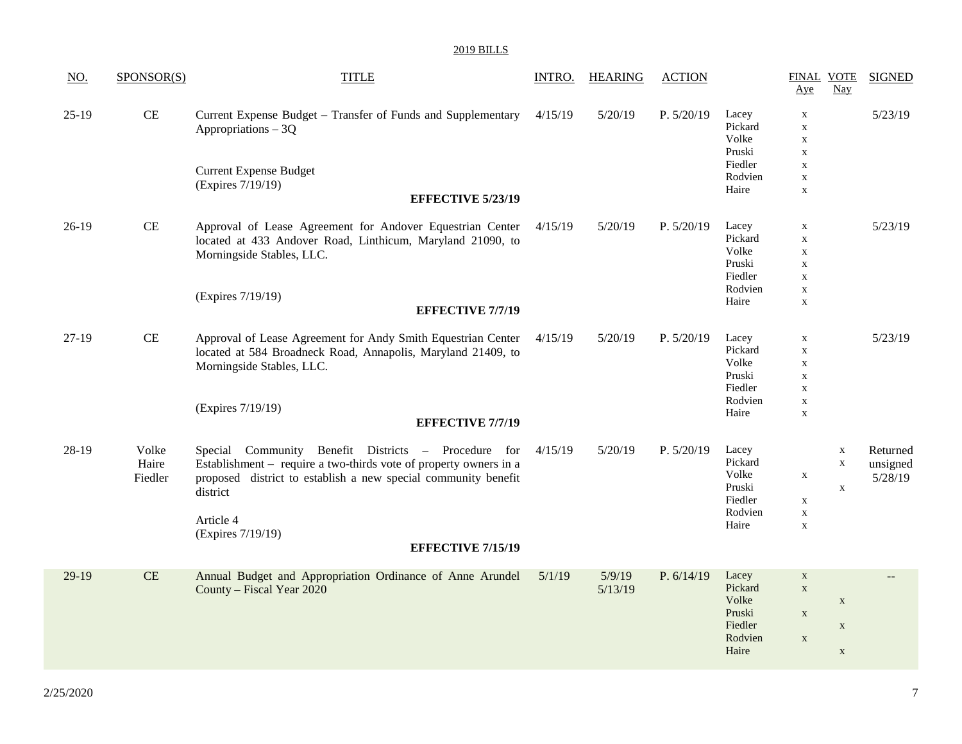| <u>NO.</u> | SPONSOR(S)                | <b>TITLE</b>                                                                                                                                                                                                                                                         | <b>INTRO.</b> | <b>HEARING</b>    | <b>ACTION</b> |                                                                    | <b>FINAL VOTE</b><br>Aye                                                                              | <b>Nay</b>                                | <b>SIGNED</b>                   |
|------------|---------------------------|----------------------------------------------------------------------------------------------------------------------------------------------------------------------------------------------------------------------------------------------------------------------|---------------|-------------------|---------------|--------------------------------------------------------------------|-------------------------------------------------------------------------------------------------------|-------------------------------------------|---------------------------------|
| $25-19$    | $\!$ $\!$                 | Current Expense Budget - Transfer of Funds and Supplementary<br>Appropriations - 3Q<br><b>Current Expense Budget</b><br>(Expires 7/19/19)<br><b>EFFECTIVE 5/23/19</b>                                                                                                | 4/15/19       | 5/20/19           | P. 5/20/19    | Lacey<br>Pickard<br>Volke<br>Pruski<br>Fiedler<br>Rodvien<br>Haire | $\mathbf X$<br>$\mathbf X$<br>$\mathbf X$<br>$\mathbf X$<br>$\mathbf X$<br>$\mathbf X$<br>$\mathbf X$ |                                           | 5/23/19                         |
| $26-19$    | CE                        | Approval of Lease Agreement for Andover Equestrian Center<br>located at 433 Andover Road, Linthicum, Maryland 21090, to<br>Morningside Stables, LLC.<br>(Expires 7/19/19)<br><b>EFFECTIVE 7/7/19</b>                                                                 | 4/15/19       | 5/20/19           | P. 5/20/19    | Lacey<br>Pickard<br>Volke<br>Pruski<br>Fiedler<br>Rodvien<br>Haire | $\mathbf X$<br>$\mathbf X$<br>$\mathbf X$<br>$\mathbf X$<br>$\mathbf X$<br>$\mathbf X$<br>$\mathbf X$ |                                           | 5/23/19                         |
| $27-19$    | $\!$ $\!$ $\!$            | Approval of Lease Agreement for Andy Smith Equestrian Center<br>located at 584 Broadneck Road, Annapolis, Maryland 21409, to<br>Morningside Stables, LLC.<br>(Expires 7/19/19)<br><b>EFFECTIVE 7/7/19</b>                                                            | 4/15/19       | 5/20/19           | P. 5/20/19    | Lacey<br>Pickard<br>Volke<br>Pruski<br>Fiedler<br>Rodvien<br>Haire | $\mathbf X$<br>$\mathbf X$<br>$\mathbf X$<br>$\mathbf X$<br>$\mathbf X$<br>$\mathbf X$<br>$\mathbf X$ |                                           | 5/23/19                         |
| 28-19      | Volke<br>Haire<br>Fiedler | Special Community Benefit Districts - Procedure for<br>Establishment – require a two-thirds vote of property owners in a<br>proposed district to establish a new special community benefit<br>district<br>Article 4<br>(Expires 7/19/19)<br><b>EFFECTIVE 7/15/19</b> | 4/15/19       | 5/20/19           | P. 5/20/19    | Lacey<br>Pickard<br>Volke<br>Pruski<br>Fiedler<br>Rodvien<br>Haire | $\mathbf X$<br>$\mathbf X$<br>$\mathbf X$<br>$\mathbf X$                                              | $\mathbf X$<br>$\mathbf X$<br>$\mathbf X$ | Returned<br>unsigned<br>5/28/19 |
| $29-19$    | CE                        | Annual Budget and Appropriation Ordinance of Anne Arundel<br>County - Fiscal Year 2020                                                                                                                                                                               | 5/1/19        | 5/9/19<br>5/13/19 | P. 6/14/19    | Lacey<br>Pickard<br>Volke<br>Pruski<br>Fiedler<br>Rodvien<br>Haire | $\mathbf X$<br>$\mathbf X$<br>$\mathbf X$<br>$\mathbf X$                                              | $\mathbf X$<br>$\mathbf X$<br>$\mathbf X$ | $-$                             |
|            |                           |                                                                                                                                                                                                                                                                      |               |                   |               |                                                                    |                                                                                                       |                                           |                                 |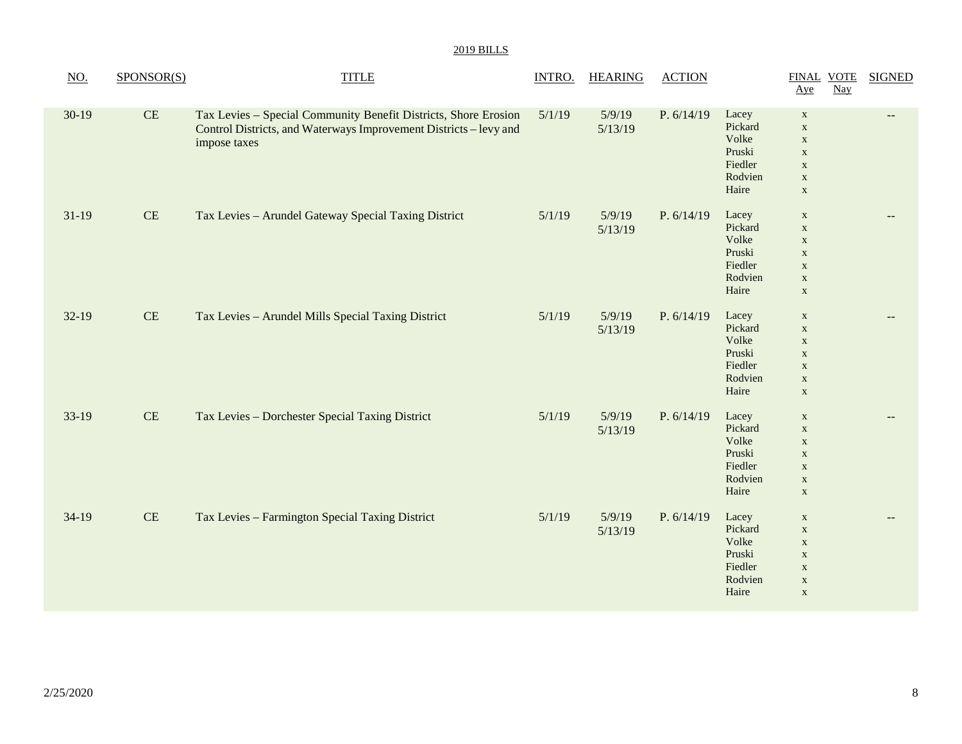| NO.     | SPONSOR(S) | <b>TITLE</b>                                                                                                                                         | <b>INTRO.</b> | <b>HEARING</b>    | <b>ACTION</b> |                                                                    | <b>FINAL VOTE</b><br>Aye                                                                               | $\frac{\text{Nay}}{\text{day}}$ | <b>SIGNED</b> |
|---------|------------|------------------------------------------------------------------------------------------------------------------------------------------------------|---------------|-------------------|---------------|--------------------------------------------------------------------|--------------------------------------------------------------------------------------------------------|---------------------------------|---------------|
| $30-19$ | CE         | Tax Levies - Special Community Benefit Districts, Shore Erosion<br>Control Districts, and Waterways Improvement Districts - levy and<br>impose taxes | 5/1/19        | 5/9/19<br>5/13/19 | P. $6/14/19$  | Lacey<br>Pickard<br>Volke<br>Pruski<br>Fiedler<br>Rodvien<br>Haire | $\mathbf X$<br>$\mathbf X$<br>$\mathbf X$<br>$\mathbf{X}$<br>$\mathbf X$<br>$\mathbf X$<br>$\mathbf X$ |                                 |               |
| $31-19$ | $\rm CE$   | Tax Levies - Arundel Gateway Special Taxing District                                                                                                 | 5/1/19        | 5/9/19<br>5/13/19 | P. $6/14/19$  | Lacey<br>Pickard<br>Volke<br>Pruski<br>Fiedler<br>Rodvien<br>Haire | $\mathbf X$<br>$\mathbf X$<br>$\mathbf X$<br>$\mathbf X$<br>$\mathbf X$<br>$\mathbf X$<br>$\mathbf X$  |                                 |               |
| $32-19$ | $\rm CE$   | Tax Levies - Arundel Mills Special Taxing District                                                                                                   | 5/1/19        | 5/9/19<br>5/13/19 | P. 6/14/19    | Lacey<br>Pickard<br>Volke<br>Pruski<br>Fiedler<br>Rodvien<br>Haire | $\mathbf X$<br>$\mathbf X$<br>$\mathbf X$<br>$\mathbf X$<br>$\mathbf X$<br>$\mathbf X$<br>$\mathbf X$  |                                 | $-$           |
| $33-19$ | $\rm CE$   | Tax Levies - Dorchester Special Taxing District                                                                                                      | 5/1/19        | 5/9/19<br>5/13/19 | P. 6/14/19    | Lacey<br>Pickard<br>Volke<br>Pruski<br>Fiedler<br>Rodvien<br>Haire | $\mathbf X$<br>$\mathbf X$<br>$\mathbf X$<br>$\mathbf X$<br>$\mathbf X$<br>$\mathbf X$<br>$\mathbf X$  |                                 |               |
| $34-19$ | $\rm CE$   | Tax Levies - Farmington Special Taxing District                                                                                                      | 5/1/19        | 5/9/19<br>5/13/19 | P. $6/14/19$  | Lacey<br>Pickard<br>Volke<br>Pruski<br>Fiedler<br>Rodvien<br>Haire | $\mathbf X$<br>$\mathbf X$<br>$\mathbf X$<br>$\mathbf X$<br>$\mathbf X$<br>$\mathbf X$<br>$\mathbf X$  |                                 |               |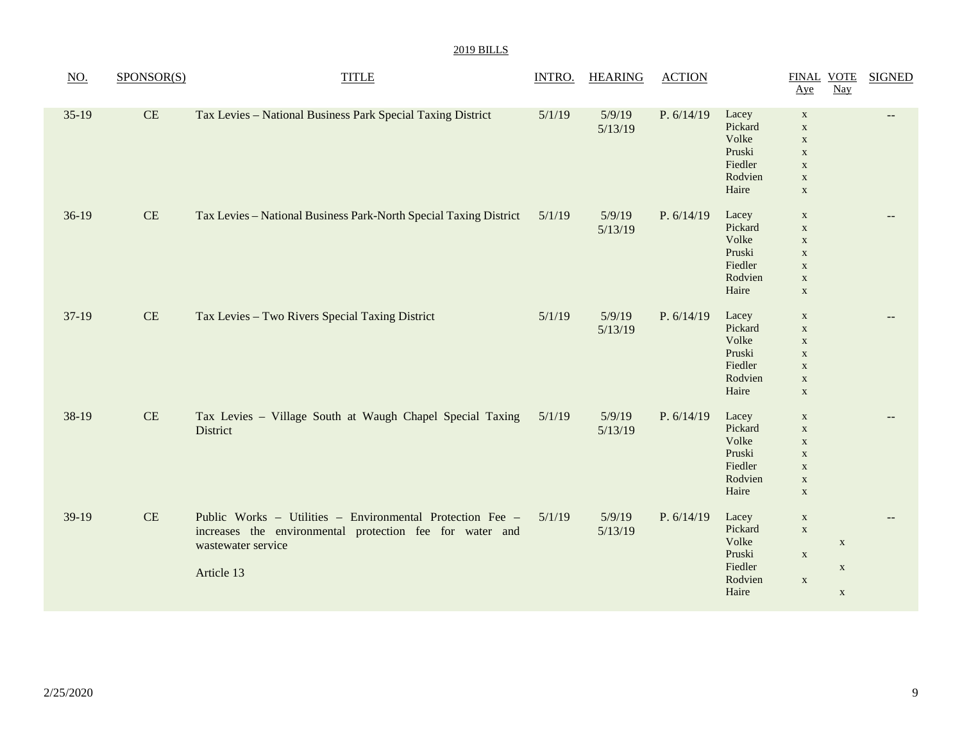| <b>2019 BILLS</b> |  |
|-------------------|--|
|                   |  |

| $\underline{NO}$ . | SPONSOR(S) | <b>TITLE</b>                                                                                                                                              | <b>INTRO.</b> | <b>HEARING</b>    | <b>ACTION</b> |                                                                    | <b>FINAL VOTE</b><br>Aye                                                                              | $\frac{Nay}{x}$                           | <b>SIGNED</b> |
|--------------------|------------|-----------------------------------------------------------------------------------------------------------------------------------------------------------|---------------|-------------------|---------------|--------------------------------------------------------------------|-------------------------------------------------------------------------------------------------------|-------------------------------------------|---------------|
| $35-19$            | CE         | Tax Levies - National Business Park Special Taxing District                                                                                               | 5/1/19        | 5/9/19<br>5/13/19 | P. 6/14/19    | Lacey<br>Pickard<br>Volke<br>Pruski<br>Fiedler<br>Rodvien<br>Haire | $\mathbf X$<br>$\mathbf X$<br>$\mathbf X$<br>$\mathbf X$<br>$\mathbf X$<br>$\mathbf X$<br>$\mathbf X$ |                                           | $-$           |
| $36-19$            | $\rm CE$   | Tax Levies - National Business Park-North Special Taxing District                                                                                         | 5/1/19        | 5/9/19<br>5/13/19 | P. 6/14/19    | Lacey<br>Pickard<br>Volke<br>Pruski<br>Fiedler<br>Rodvien<br>Haire | $\mathbf X$<br>$\mathbf X$<br>$\mathbf X$<br>$\mathbf X$<br>$\mathbf X$<br>$\mathbf X$<br>$\mathbf X$ |                                           |               |
| $37-19$            | CE         | Tax Levies - Two Rivers Special Taxing District                                                                                                           | 5/1/19        | 5/9/19<br>5/13/19 | P. 6/14/19    | Lacey<br>Pickard<br>Volke<br>Pruski<br>Fiedler<br>Rodvien<br>Haire | $\mathbf X$<br>$\mathbf X$<br>$\mathbf X$<br>$\mathbf X$<br>$\mathbf X$<br>$\mathbf X$<br>$\mathbf X$ |                                           | $-$           |
| 38-19              | $\rm CE$   | Tax Levies - Village South at Waugh Chapel Special Taxing<br>District                                                                                     | 5/1/19        | 5/9/19<br>5/13/19 | P. 6/14/19    | Lacey<br>Pickard<br>Volke<br>Pruski<br>Fiedler<br>Rodvien<br>Haire | $\mathbf X$<br>$\mathbf X$<br>$\mathbf X$<br>$\mathbf X$<br>$\mathbf X$<br>$\mathbf X$<br>$\mathbf X$ |                                           | $-$           |
| 39-19              | $\rm CE$   | Public Works - Utilities - Environmental Protection Fee -<br>increases the environmental protection fee for water and<br>wastewater service<br>Article 13 | 5/1/19        | 5/9/19<br>5/13/19 | P. $6/14/19$  | Lacey<br>Pickard<br>Volke<br>Pruski<br>Fiedler<br>Rodvien<br>Haire | $\mathbf X$<br>$\mathbf X$<br>$\mathbf X$<br>$\mathbf X$                                              | $\mathbf X$<br>$\mathbf X$<br>$\mathbf X$ |               |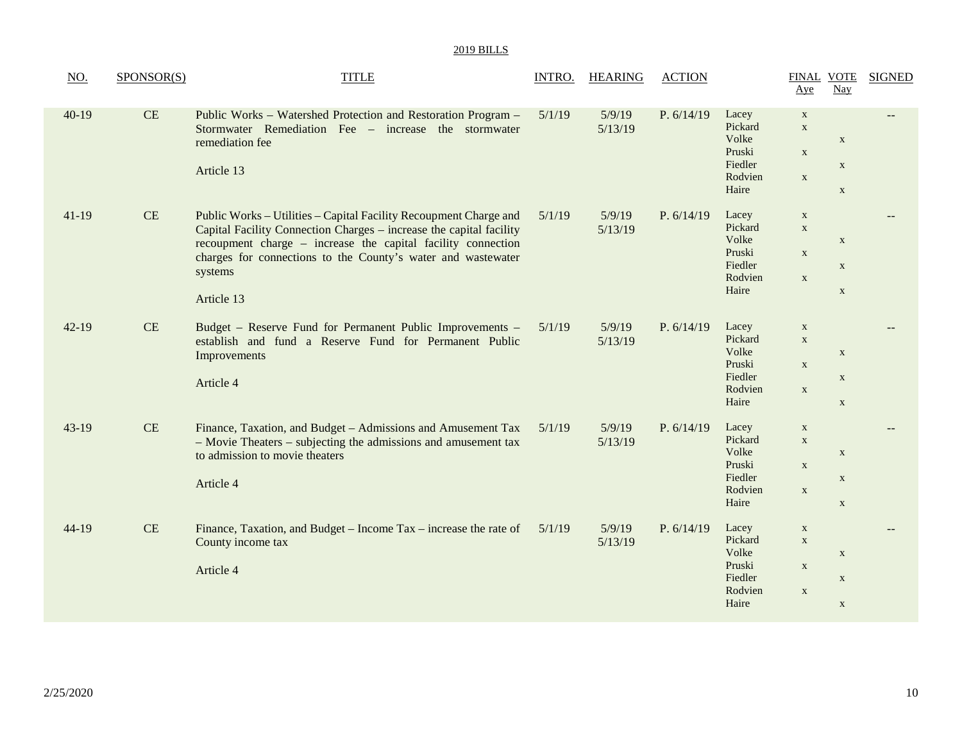| NO.       | SPONSOR(S) | <b>TITLE</b>                                                                                                                                                                                                                                                                                      | INTRO. | <b>HEARING</b>    | <b>ACTION</b> |                                                                    | <b>FINAL VOTE</b><br>Aye                                  | $\frac{Nay}{x}$                            | <b>SIGNED</b> |
|-----------|------------|---------------------------------------------------------------------------------------------------------------------------------------------------------------------------------------------------------------------------------------------------------------------------------------------------|--------|-------------------|---------------|--------------------------------------------------------------------|-----------------------------------------------------------|--------------------------------------------|---------------|
| $40-19$   | CE         | Public Works - Watershed Protection and Restoration Program -<br>Stormwater Remediation Fee – increase the stormwater<br>remediation fee<br>Article 13                                                                                                                                            | 5/1/19 | 5/9/19<br>5/13/19 | P. 6/14/19    | Lacey<br>Pickard<br>Volke<br>Pruski<br>Fiedler<br>Rodvien<br>Haire | $\mathbf X$<br>$\mathbf X$<br>$\mathbf X$<br>$\mathbf X$  | $\mathbf X$<br>$\mathbf X$<br>$\mathbf X$  |               |
| $41-19$   | CE         | Public Works - Utilities - Capital Facility Recoupment Charge and<br>Capital Facility Connection Charges – increase the capital facility<br>recoupment charge – increase the capital facility connection<br>charges for connections to the County's water and wastewater<br>systems<br>Article 13 | 5/1/19 | 5/9/19<br>5/13/19 | P. 6/14/19    | Lacey<br>Pickard<br>Volke<br>Pruski<br>Fiedler<br>Rodvien<br>Haire | $\mathbf{X}$<br>$\mathbf X$<br>$\mathbf X$<br>$\mathbf X$ | $\mathbf X$<br>$\mathbf X$<br>$\mathbf X$  |               |
| $42 - 19$ | CE         | Budget - Reserve Fund for Permanent Public Improvements -<br>establish and fund a Reserve Fund for Permanent Public<br>Improvements<br>Article 4                                                                                                                                                  | 5/1/19 | 5/9/19<br>5/13/19 | P. 6/14/19    | Lacey<br>Pickard<br>Volke<br>Pruski<br>Fiedler<br>Rodvien<br>Haire | $\mathbf X$<br>$\mathbf X$<br>$\mathbf{X}$<br>$\mathbf X$ | $\mathbf X$<br>$\mathbf X$<br>$\mathbf X$  |               |
| $43-19$   | CE         | Finance, Taxation, and Budget - Admissions and Amusement Tax<br>- Movie Theaters - subjecting the admissions and amusement tax<br>to admission to movie theaters<br>Article 4                                                                                                                     | 5/1/19 | 5/9/19<br>5/13/19 | P. 6/14/19    | Lacey<br>Pickard<br>Volke<br>Pruski<br>Fiedler<br>Rodvien<br>Haire | $\mathbf X$<br>$\mathbf X$<br>$\mathbf X$<br>$\mathbf X$  | $\mathbf X$<br>$\mathbf{X}$<br>$\mathbf X$ |               |
| $44-19$   | CE         | Finance, Taxation, and Budget – Income Tax – increase the rate of<br>County income tax<br>Article 4                                                                                                                                                                                               | 5/1/19 | 5/9/19<br>5/13/19 | P. 6/14/19    | Lacey<br>Pickard<br>Volke<br>Pruski<br>Fiedler<br>Rodvien<br>Haire | $\mathbf X$<br>$\mathbf X$<br>$\mathbf X$<br>$\mathbf{X}$ | $\mathbf{X}$<br>$\mathbf X$<br>$\mathbf X$ |               |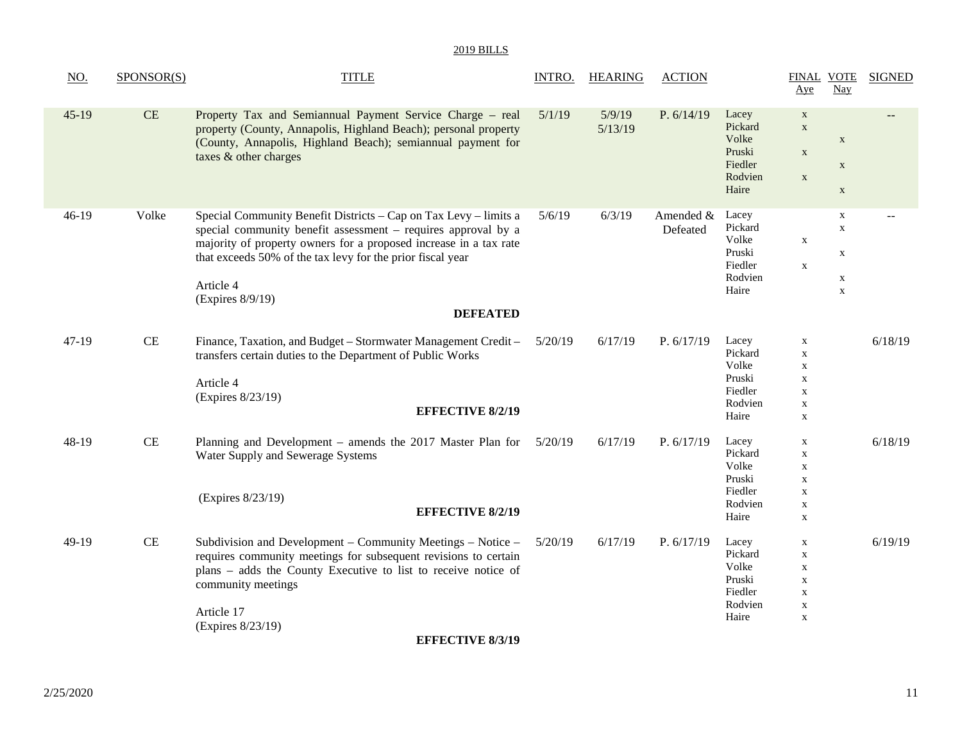| NO.     | SPONSOR(S) | <b>TITLE</b>                                                                                                                                                                                                                                                                                                             | INTRO.  | <b>HEARING</b>    | <b>ACTION</b>         |                                                                    | <b>FINAL VOTE</b><br>Aye                                                                              | Nay                                                           | <b>SIGNED</b> |
|---------|------------|--------------------------------------------------------------------------------------------------------------------------------------------------------------------------------------------------------------------------------------------------------------------------------------------------------------------------|---------|-------------------|-----------------------|--------------------------------------------------------------------|-------------------------------------------------------------------------------------------------------|---------------------------------------------------------------|---------------|
| $45-19$ | CE         | Property Tax and Semiannual Payment Service Charge – real<br>property (County, Annapolis, Highland Beach); personal property<br>(County, Annapolis, Highland Beach); semiannual payment for<br>taxes & other charges                                                                                                     | 5/1/19  | 5/9/19<br>5/13/19 | P. 6/14/19            | Lacey<br>Pickard<br>Volke<br>Pruski<br>Fiedler<br>Rodvien<br>Haire | $\mathbf{X}$<br>$\mathbf X$<br>$\mathbf X$<br>$\mathbf X$                                             | $\mathbf X$<br>$\mathbf X$<br>$\mathbf X$                     |               |
| $46-19$ | Volke      | Special Community Benefit Districts – Cap on Tax Levy – limits a<br>special community benefit assessment – requires approval by a<br>majority of property owners for a proposed increase in a tax rate<br>that exceeds 50% of the tax levy for the prior fiscal year<br>Article 4<br>(Expires 8/9/19)<br><b>DEFEATED</b> | 5/6/19  | 6/3/19            | Amended &<br>Defeated | Lacey<br>Pickard<br>Volke<br>Pruski<br>Fiedler<br>Rodvien<br>Haire | $\mathbf X$<br>$\mathbf{X}$                                                                           | X<br>$\mathbf X$<br>$\mathbf X$<br>$\mathbf X$<br>$\mathbf X$ |               |
| $47-19$ | CE         | Finance, Taxation, and Budget - Stormwater Management Credit -<br>transfers certain duties to the Department of Public Works<br>Article 4<br>(Expires 8/23/19)<br><b>EFFECTIVE 8/2/19</b>                                                                                                                                | 5/20/19 | 6/17/19           | P. $6/17/19$          | Lacey<br>Pickard<br>Volke<br>Pruski<br>Fiedler<br>Rodvien<br>Haire | $\mathbf X$<br>$\mathbf X$<br>$\mathbf X$<br>$\mathbf X$<br>$\mathbf X$<br>$\mathbf X$<br>$\mathbf X$ |                                                               | 6/18/19       |
| $48-19$ | CE         | Planning and Development – amends the 2017 Master Plan for<br>Water Supply and Sewerage Systems<br>(Expires 8/23/19)<br><b>EFFECTIVE 8/2/19</b>                                                                                                                                                                          | 5/20/19 | 6/17/19           | P. $6/17/19$          | Lacey<br>Pickard<br>Volke<br>Pruski<br>Fiedler<br>Rodvien<br>Haire | $\mathbf X$<br>$\mathbf X$<br>$\mathbf X$<br>$\mathbf X$<br>$\mathbf X$<br>$\mathbf X$<br>$\mathbf X$ |                                                               | 6/18/19       |
| $49-19$ | CE         | Subdivision and Development – Community Meetings – Notice –<br>requires community meetings for subsequent revisions to certain<br>plans - adds the County Executive to list to receive notice of<br>community meetings<br>Article 17<br>(Expires 8/23/19)                                                                | 5/20/19 | 6/17/19           | P. 6/17/19            | Lacey<br>Pickard<br>Volke<br>Pruski<br>Fiedler<br>Rodvien<br>Haire | $\mathbf X$<br>$\mathbf X$<br>$\mathbf X$<br>$\mathbf X$<br>$\mathbf X$<br>$\mathbf X$<br>$\mathbf X$ |                                                               | 6/19/19       |
|         |            |                                                                                                                                                                                                                                                                                                                          |         |                   |                       |                                                                    |                                                                                                       |                                                               |               |

**EFFECTIVE 8/3/19**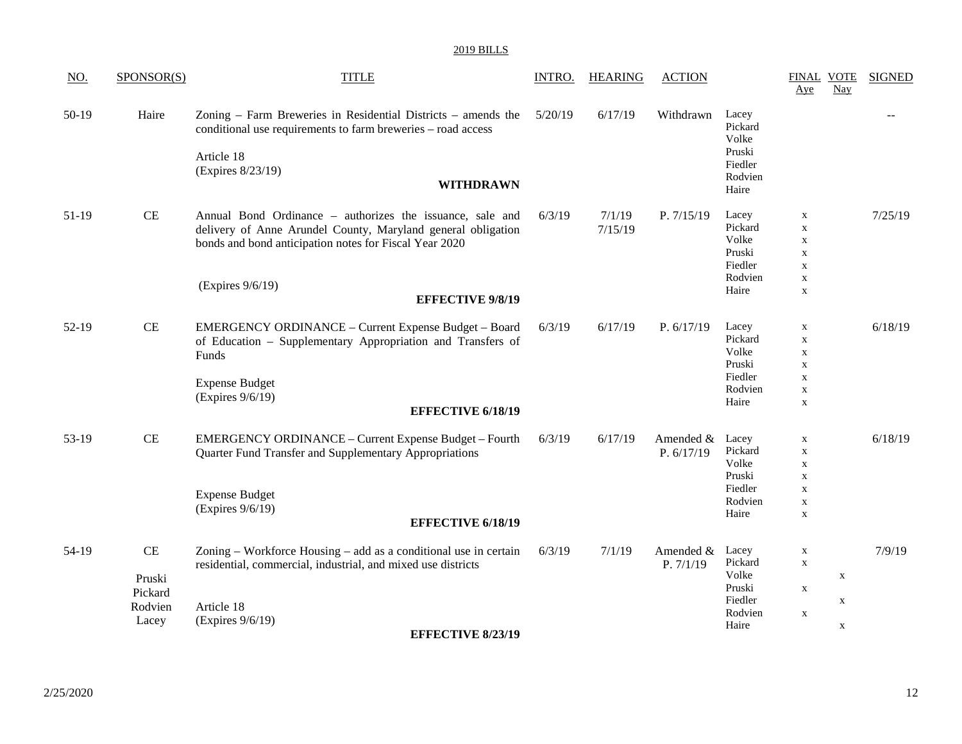| <u>NO.</u> | SPONSOR(S) | <b>TITLE</b>                                                                                                                                | <b>INTRO.</b> | <b>HEARING</b> | <b>ACTION</b> |                                     | Aye                        | FINAL VOTE<br><b>Nay</b> | <b>SIGNED</b> |
|------------|------------|---------------------------------------------------------------------------------------------------------------------------------------------|---------------|----------------|---------------|-------------------------------------|----------------------------|--------------------------|---------------|
| $50-19$    | Haire      | Zoning – Farm Breweries in Residential Districts – amends the<br>conditional use requirements to farm breweries - road access<br>Article 18 | 5/20/19       | 6/17/19        | Withdrawn     | Lacey<br>Pickard<br>Volke<br>Pruski |                            |                          |               |
|            |            | (Expires 8/23/19)                                                                                                                           |               |                |               | Fiedler<br>Rodvien                  |                            |                          |               |
|            |            | <b>WITHDRAWN</b>                                                                                                                            |               |                |               | Haire                               |                            |                          |               |
| 51-19      | <b>CE</b>  | Annual Bond Ordinance – authorizes the issuance, sale and                                                                                   | 6/3/19        | 7/1/19         | P. 7/15/19    | Lacey                               | $\mathbf X$                |                          | 7/25/19       |
|            |            | delivery of Anne Arundel County, Maryland general obligation                                                                                |               | 7/15/19        |               | Pickard<br>Volke                    | $\mathbf{X}$               |                          |               |
|            |            | bonds and bond anticipation notes for Fiscal Year 2020                                                                                      |               |                |               | Pruski                              | $\mathbf X$<br>$\mathbf X$ |                          |               |
|            |            |                                                                                                                                             |               |                |               | Fiedler                             | $\mathbf X$                |                          |               |
|            |            |                                                                                                                                             |               |                |               | Rodvien                             | $\mathbf X$                |                          |               |
|            |            | (Expires 9/6/19)                                                                                                                            |               |                |               | Haire                               | $\mathbf X$                |                          |               |
|            |            | <b>EFFECTIVE 9/8/19</b>                                                                                                                     |               |                |               |                                     |                            |                          |               |
| $52-19$    | <b>CE</b>  | <b>EMERGENCY ORDINANCE - Current Expense Budget - Board</b>                                                                                 | 6/3/19        | 6/17/19        | P. 6/17/19    | Lacey                               | $\mathbf x$                |                          | 6/18/19       |
|            |            | of Education - Supplementary Appropriation and Transfers of                                                                                 |               |                |               | Pickard                             | $\mathbf X$                |                          |               |
|            |            | Funds                                                                                                                                       |               |                |               | Volke                               | $\mathbf X$                |                          |               |
|            |            |                                                                                                                                             |               |                |               | Pruski                              | $\mathbf X$                |                          |               |
|            |            | <b>Expense Budget</b>                                                                                                                       |               |                |               | Fiedler                             | $\mathbf X$                |                          |               |
|            |            | (Expires 9/6/19)                                                                                                                            |               |                |               | Rodvien                             | $\mathbf X$                |                          |               |
|            |            | <b>EFFECTIVE 6/18/19</b>                                                                                                                    |               |                |               | Haire                               | $\mathbf{X}$               |                          |               |
| 53-19      | CE         | EMERGENCY ORDINANCE - Current Expense Budget - Fourth                                                                                       | 6/3/19        | 6/17/19        | Amended &     | Lacey                               | $\mathbf X$                |                          | 6/18/19       |
|            |            | Quarter Fund Transfer and Supplementary Appropriations                                                                                      |               |                | P. 6/17/19    | Pickard                             | $\boldsymbol{\mathrm{X}}$  |                          |               |
|            |            |                                                                                                                                             |               |                |               | Volke                               | $\mathbf X$                |                          |               |
|            |            |                                                                                                                                             |               |                |               | Pruski                              | $\mathbf X$                |                          |               |
|            |            | <b>Expense Budget</b>                                                                                                                       |               |                |               | Fiedler                             | $\boldsymbol{\mathrm{X}}$  |                          |               |
|            |            | (Expires 9/6/19)                                                                                                                            |               |                |               | Rodvien                             | $\mathbf X$                |                          |               |
|            |            | <b>EFFECTIVE 6/18/19</b>                                                                                                                    |               |                |               | Haire                               | $\boldsymbol{\mathrm{X}}$  |                          |               |
|            |            |                                                                                                                                             |               |                |               |                                     |                            |                          |               |
| 54-19      | <b>CE</b>  | Zoning - Workforce Housing - add as a conditional use in certain                                                                            | 6/3/19        | 7/1/19         | Amended &     | Lacey<br>Pickard                    | $\mathbf X$                |                          | 7/9/19        |
|            |            | residential, commercial, industrial, and mixed use districts                                                                                |               |                | P. 7/1/19     | Volke                               | $\mathbf X$                | $\mathbf X$              |               |
|            | Pruski     |                                                                                                                                             |               |                |               | Pruski                              | $\mathbf X$                |                          |               |
|            | Pickard    |                                                                                                                                             |               |                |               | Fiedler                             |                            | $\mathbf X$              |               |
|            | Rodvien    | Article 18                                                                                                                                  |               |                |               | Rodvien                             | $\mathbf{X}$               |                          |               |
|            | Lacey      | (Expires 9/6/19)                                                                                                                            |               |                |               | Haire                               |                            | $\mathbf X$              |               |
|            |            | <b>EFFECTIVE 8/23/19</b>                                                                                                                    |               |                |               |                                     |                            |                          |               |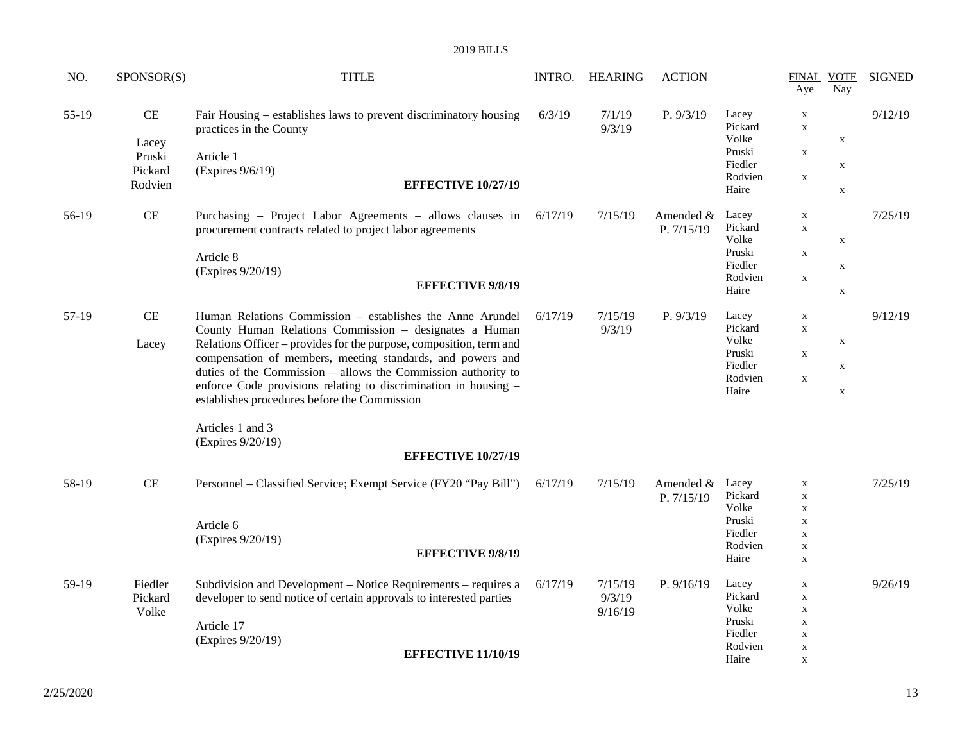| NO.   | SPONSOR(S)                                  | <b>TITLE</b>                                                                                                                                                                                                                                                                                                                                                                                                                                                     | INTRO.  | <b>HEARING</b>               | <b>ACTION</b>             |                                                                    | <b>FINAL VOTE</b><br>Aye                                                                              | Nay                                       | <b>SIGNED</b> |
|-------|---------------------------------------------|------------------------------------------------------------------------------------------------------------------------------------------------------------------------------------------------------------------------------------------------------------------------------------------------------------------------------------------------------------------------------------------------------------------------------------------------------------------|---------|------------------------------|---------------------------|--------------------------------------------------------------------|-------------------------------------------------------------------------------------------------------|-------------------------------------------|---------------|
| 55-19 | CE<br>Lacey<br>Pruski<br>Pickard<br>Rodvien | Fair Housing – establishes laws to prevent discriminatory housing<br>practices in the County<br>Article 1<br>(Expires 9/6/19)<br><b>EFFECTIVE 10/27/19</b>                                                                                                                                                                                                                                                                                                       | 6/3/19  | 7/1/19<br>9/3/19             | P. 9/3/19                 | Lacey<br>Pickard<br>Volke<br>Pruski<br>Fiedler<br>Rodvien<br>Haire | $\mathbf X$<br>$\mathbf X$<br>$\mathbf X$<br>$\mathbf x$                                              | X<br>$\mathbf X$<br>$\mathbf X$           | 9/12/19       |
| 56-19 | $\!$ $\!$ $\!$                              | Purchasing - Project Labor Agreements - allows clauses in<br>procurement contracts related to project labor agreements<br>Article 8<br>(Expires 9/20/19)<br><b>EFFECTIVE 9/8/19</b>                                                                                                                                                                                                                                                                              | 6/17/19 | 7/15/19                      | Amended $&$<br>P. 7/15/19 | Lacey<br>Pickard<br>Volke<br>Pruski<br>Fiedler<br>Rodvien<br>Haire | $\mathbf X$<br>$\mathbf X$<br>$\mathbf X$<br>$\mathbf X$                                              | $\mathbf X$<br>$\mathbf X$<br>$\mathbf X$ | 7/25/19       |
| 57-19 | CE<br>Lacey                                 | Human Relations Commission - establishes the Anne Arundel<br>County Human Relations Commission - designates a Human<br>Relations Officer - provides for the purpose, composition, term and<br>compensation of members, meeting standards, and powers and<br>duties of the Commission - allows the Commission authority to<br>enforce Code provisions relating to discrimination in housing -<br>establishes procedures before the Commission<br>Articles 1 and 3 | 6/17/19 | 7/15/19<br>9/3/19            | P. 9/3/19                 | Lacey<br>Pickard<br>Volke<br>Pruski<br>Fiedler<br>Rodvien<br>Haire | $\mathbf X$<br>$\mathbf X$<br>$\mathbf x$<br>X                                                        | $\mathbf X$<br>$\mathbf X$<br>$\mathbf X$ | 9/12/19       |
|       |                                             | (Expires 9/20/19)<br><b>EFFECTIVE 10/27/19</b>                                                                                                                                                                                                                                                                                                                                                                                                                   |         |                              |                           |                                                                    |                                                                                                       |                                           |               |
| 58-19 | CE                                          | Personnel – Classified Service; Exempt Service (FY20 "Pay Bill")<br>Article 6<br>(Expires 9/20/19)<br><b>EFFECTIVE 9/8/19</b>                                                                                                                                                                                                                                                                                                                                    | 6/17/19 | 7/15/19                      | Amended &<br>P. 7/15/19   | Lacey<br>Pickard<br>Volke<br>Pruski<br>Fiedler<br>Rodvien<br>Haire | $\mathbf X$<br>$\mathbf X$<br>$\mathbf X$<br>$\mathbf X$<br>$\mathbf X$<br>$\mathbf X$<br>$\mathbf X$ |                                           | 7/25/19       |
| 59-19 | Fiedler<br>Pickard<br>Volke                 | Subdivision and Development – Notice Requirements – requires a<br>developer to send notice of certain approvals to interested parties<br>Article 17<br>(Expires 9/20/19)<br><b>EFFECTIVE 11/10/19</b>                                                                                                                                                                                                                                                            | 6/17/19 | 7/15/19<br>9/3/19<br>9/16/19 | P. 9/16/19                | Lacey<br>Pickard<br>Volke<br>Pruski<br>Fiedler<br>Rodvien<br>Haire | $\mathbf X$<br>$\mathbf X$<br>$\mathbf X$<br>$\mathbf X$<br>$\mathbf X$<br>$\mathbf X$<br>$\mathbf X$ |                                           | 9/26/19       |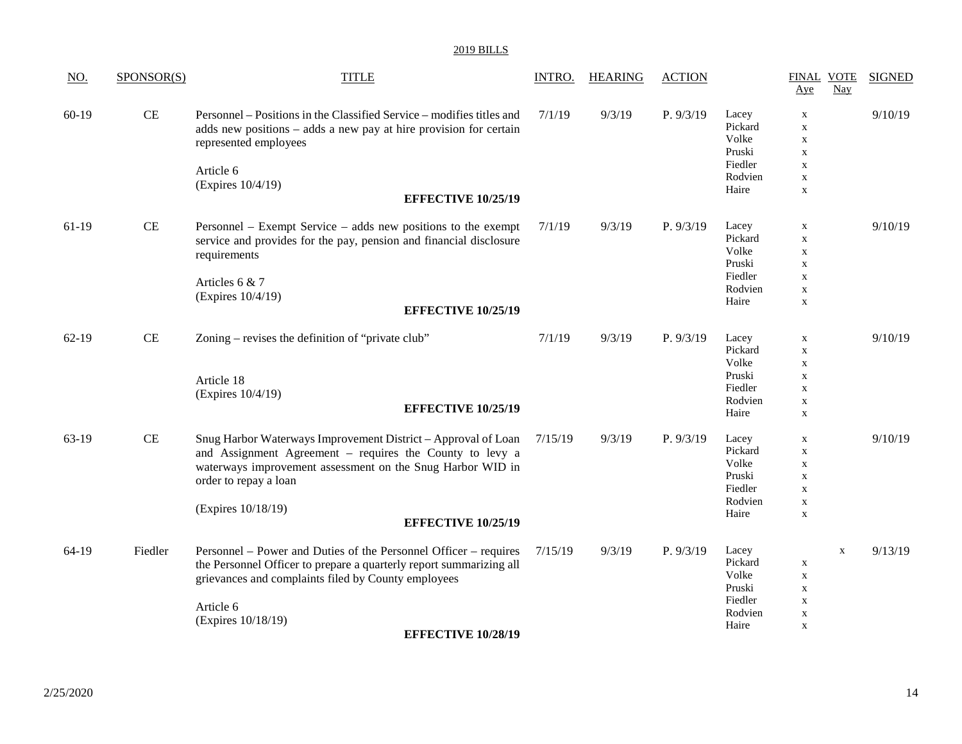| <u>NO.</u> | SPONSOR(S) | <b>TITLE</b>                                                                                                                                                                                                                                                        | INTRO.  | <b>HEARING</b> | <b>ACTION</b> |                                                                    | <b>FINAL VOTE</b><br>Aye                                                                               | <b>SIGNED</b><br>$\frac{\text{Nay}}{\text{day}}$ |
|------------|------------|---------------------------------------------------------------------------------------------------------------------------------------------------------------------------------------------------------------------------------------------------------------------|---------|----------------|---------------|--------------------------------------------------------------------|--------------------------------------------------------------------------------------------------------|--------------------------------------------------|
| $60-19$    | <b>CE</b>  | Personnel – Positions in the Classified Service – modifies titles and<br>adds new positions – adds a new pay at hire provision for certain<br>represented employees<br>Article 6                                                                                    | 7/1/19  | 9/3/19         | P. 9/3/19     | Lacey<br>Pickard<br>Volke<br>Pruski<br>Fiedler                     | $\mathbf X$<br>$\mathbf X$<br>$\mathbf X$<br>$\mathbf X$<br>$\mathbf X$                                | 9/10/19                                          |
|            |            | (Expires 10/4/19)<br><b>EFFECTIVE 10/25/19</b>                                                                                                                                                                                                                      |         |                |               | Rodvien<br>Haire                                                   | $\mathbf X$<br>$\mathbf X$                                                                             |                                                  |
| $61-19$    | <b>CE</b>  | Personnel – Exempt Service – adds new positions to the exempt<br>service and provides for the pay, pension and financial disclosure<br>requirements<br>Articles 6 & 7<br>(Expires 10/4/19)<br><b>EFFECTIVE 10/25/19</b>                                             | 7/1/19  | 9/3/19         | P. 9/3/19     | Lacey<br>Pickard<br>Volke<br>Pruski<br>Fiedler<br>Rodvien<br>Haire | $\mathbf X$<br>$\mathbf X$<br>$\mathbf X$<br>$\mathbf X$<br>$\mathbf X$<br>$\mathbf X$<br>$\mathbf X$  | 9/10/19                                          |
| $62-19$    | <b>CE</b>  | Zoning – revises the definition of "private club"<br>Article 18<br>(Expires 10/4/19)<br><b>EFFECTIVE 10/25/19</b>                                                                                                                                                   | 7/1/19  | 9/3/19         | P. 9/3/19     | Lacey<br>Pickard<br>Volke<br>Pruski<br>Fiedler<br>Rodvien<br>Haire | $\mathbf X$<br>$\mathbf X$<br>$\mathbf X$<br>$\mathbf X$<br>$\mathbf X$<br>$\mathbf X$<br>$\mathbf X$  | 9/10/19                                          |
| 63-19      | <b>CE</b>  | Snug Harbor Waterways Improvement District - Approval of Loan<br>and Assignment Agreement - requires the County to levy a<br>waterways improvement assessment on the Snug Harbor WID in<br>order to repay a loan<br>(Expires 10/18/19)<br><b>EFFECTIVE 10/25/19</b> | 7/15/19 | 9/3/19         | P. 9/3/19     | Lacey<br>Pickard<br>Volke<br>Pruski<br>Fiedler<br>Rodvien<br>Haire | $\mathbf{X}$<br>$\mathbf X$<br>$\mathbf X$<br>$\mathbf X$<br>$\mathbf X$<br>$\mathbf X$<br>$\mathbf X$ | 9/10/19                                          |
| 64-19      | Fiedler    | Personnel – Power and Duties of the Personnel Officer – requires<br>the Personnel Officer to prepare a quarterly report summarizing all<br>grievances and complaints filed by County employees<br>Article 6<br>(Expires 10/18/19)<br><b>EFFECTIVE 10/28/19</b>      | 7/15/19 | 9/3/19         | P. 9/3/19     | Lacey<br>Pickard<br>Volke<br>Pruski<br>Fiedler<br>Rodvien<br>Haire | $\mathbf X$<br>$\mathbf X$<br>$\mathbf X$<br>$\mathbf X$<br>$\mathbf X$<br>$\mathbf X$                 | 9/13/19<br>$\mathbf X$                           |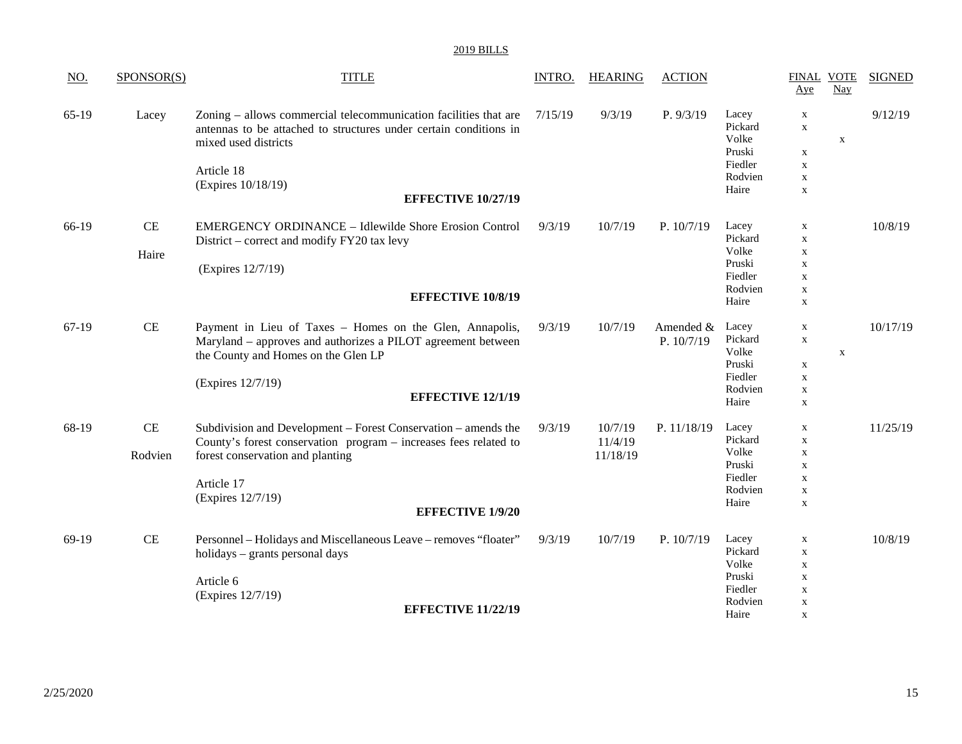| <u>NO.</u> | SPONSOR(S) | <b>TITLE</b>                                                                                                                                                  | <b>INTRO.</b> | <b>HEARING</b> | <b>ACTION</b> |                                     | <b>FINAL VOTE</b><br>Aye                  | Nay         | <b>SIGNED</b> |
|------------|------------|---------------------------------------------------------------------------------------------------------------------------------------------------------------|---------------|----------------|---------------|-------------------------------------|-------------------------------------------|-------------|---------------|
| $65-19$    | Lacey      | Zoning – allows commercial telecommunication facilities that are<br>antennas to be attached to structures under certain conditions in<br>mixed used districts | 7/15/19       | 9/3/19         | P. 9/3/19     | Lacey<br>Pickard<br>Volke<br>Pruski | $\mathbf X$<br>$\mathbf X$<br>$\mathbf x$ | $\mathbf X$ | 9/12/19       |
|            |            | Article 18                                                                                                                                                    |               |                |               | Fiedler                             | $\mathbf X$                               |             |               |
|            |            | (Expires 10/18/19)                                                                                                                                            |               |                |               | Rodvien                             | $\mathbf X$                               |             |               |
|            |            | <b>EFFECTIVE 10/27/19</b>                                                                                                                                     |               |                |               | Haire                               | $\mathbf X$                               |             |               |
| 66-19      | CE         | <b>EMERGENCY ORDINANCE - Idlewilde Shore Erosion Control</b>                                                                                                  | 9/3/19        | 10/7/19        | P. 10/7/19    | Lacey                               | $\mathbf X$                               |             | 10/8/19       |
|            |            | District – correct and modify FY20 tax levy                                                                                                                   |               |                |               | Pickard                             | $\mathbf X$                               |             |               |
|            | Haire      |                                                                                                                                                               |               |                |               | Volke<br>Pruski                     | $\mathbf X$<br>$\mathbf X$                |             |               |
|            |            | (Expires 12/7/19)                                                                                                                                             |               |                |               | Fiedler                             | $\mathbf X$                               |             |               |
|            |            |                                                                                                                                                               |               |                |               | Rodvien                             | $\mathbf X$                               |             |               |
|            |            | <b>EFFECTIVE 10/8/19</b>                                                                                                                                      |               |                |               | Haire                               | $\mathbf X$                               |             |               |
| 67-19      | $\rm CE$   | Payment in Lieu of Taxes - Homes on the Glen, Annapolis,                                                                                                      | 9/3/19        | 10/7/19        | Amended &     | Lacey                               | $\mathbf X$                               |             | 10/17/19      |
|            |            | Maryland - approves and authorizes a PILOT agreement between                                                                                                  |               |                | P. 10/7/19    | Pickard                             | $\mathbf X$                               |             |               |
|            |            | the County and Homes on the Glen LP                                                                                                                           |               |                |               | Volke<br>Pruski                     |                                           | $\mathbf X$ |               |
|            |            |                                                                                                                                                               |               |                |               | Fiedler                             | $\mathbf x$<br>$\mathbf X$                |             |               |
|            |            | (Expires 12/7/19)                                                                                                                                             |               |                |               | Rodvien                             | $\mathbf X$                               |             |               |
|            |            | <b>EFFECTIVE 12/1/19</b>                                                                                                                                      |               |                |               | Haire                               | $\mathbf X$                               |             |               |
| 68-19      | CE         | Subdivision and Development – Forest Conservation – amends the                                                                                                | 9/3/19        | 10/7/19        | P. 11/18/19   | Lacey                               | $\mathbf X$                               |             | 11/25/19      |
|            |            | County's forest conservation program - increases fees related to                                                                                              |               | 11/4/19        |               | Pickard                             | $\mathbf X$                               |             |               |
|            | Rodvien    | forest conservation and planting                                                                                                                              |               | 11/18/19       |               | Volke<br>Pruski                     | $\mathbf X$                               |             |               |
|            |            |                                                                                                                                                               |               |                |               | Fiedler                             | $\mathbf X$<br>$\mathbf X$                |             |               |
|            |            | Article 17                                                                                                                                                    |               |                |               | Rodvien                             | $\mathbf X$                               |             |               |
|            |            | (Expires 12/7/19)                                                                                                                                             |               |                |               | Haire                               | $\mathbf X$                               |             |               |
|            |            | <b>EFFECTIVE 1/9/20</b>                                                                                                                                       |               |                |               |                                     |                                           |             |               |
| 69-19      | $\rm CE$   | Personnel - Holidays and Miscellaneous Leave - removes "floater"                                                                                              | 9/3/19        | 10/7/19        | P. 10/7/19    | Lacey                               | $\mathbf X$                               |             | 10/8/19       |
|            |            | holidays – grants personal days                                                                                                                               |               |                |               | Pickard                             | $\mathbf X$                               |             |               |
|            |            |                                                                                                                                                               |               |                |               | Volke                               | $\mathbf X$                               |             |               |
|            |            | Article 6                                                                                                                                                     |               |                |               | Pruski                              | $\mathbf X$                               |             |               |
|            |            | (Expires 12/7/19)                                                                                                                                             |               |                |               | Fiedler                             | $\mathbf X$                               |             |               |
|            |            | <b>EFFECTIVE 11/22/19</b>                                                                                                                                     |               |                |               | Rodvien<br>Haire                    | $\mathbf X$<br>$\mathbf x$                |             |               |
|            |            |                                                                                                                                                               |               |                |               |                                     |                                           |             |               |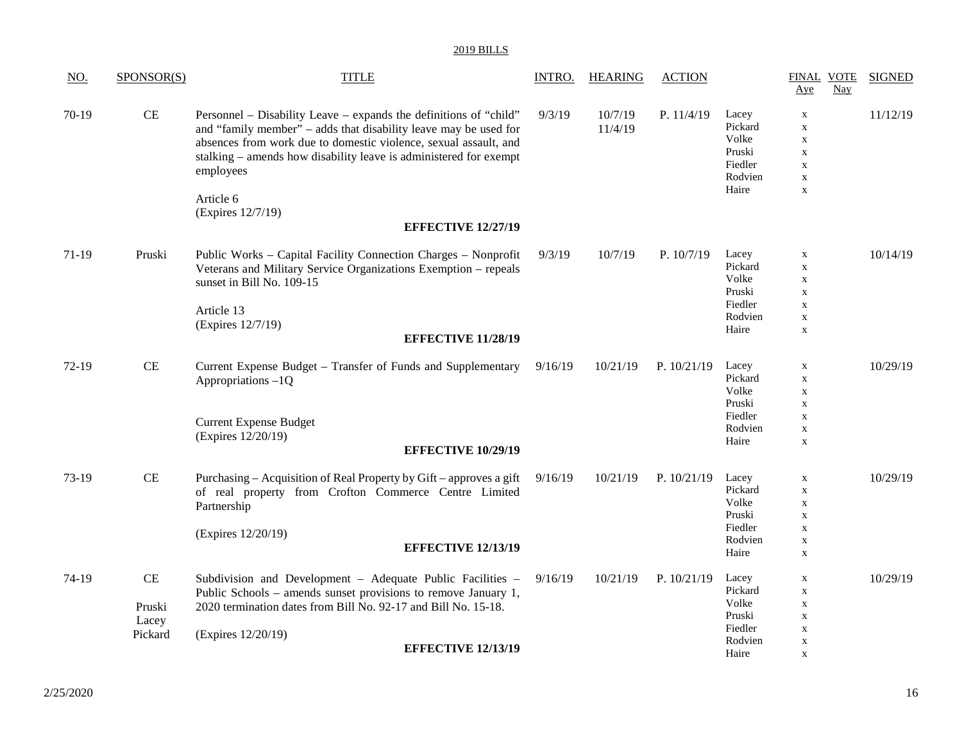| <u>NO.</u> | SPONSOR(S)                                   | <b>TITLE</b>                                                                                                                                                                                                                                                                                             | <b>INTRO.</b> | <b>HEARING</b>     | <b>ACTION</b> |                                                                    | <b>FINAL VOTE</b><br>Aye                                                                              | Nay | <b>SIGNED</b> |
|------------|----------------------------------------------|----------------------------------------------------------------------------------------------------------------------------------------------------------------------------------------------------------------------------------------------------------------------------------------------------------|---------------|--------------------|---------------|--------------------------------------------------------------------|-------------------------------------------------------------------------------------------------------|-----|---------------|
| 70-19      | CE                                           | Personnel – Disability Leave – expands the definitions of "child"<br>and "family member" – adds that disability leave may be used for<br>absences from work due to domestic violence, sexual assault, and<br>stalking – amends how disability leave is administered for exempt<br>employees<br>Article 6 | 9/3/19        | 10/7/19<br>11/4/19 | P. 11/4/19    | Lacey<br>Pickard<br>Volke<br>Pruski<br>Fiedler<br>Rodvien<br>Haire | $\mathbf X$<br>$\mathbf X$<br>$\mathbf X$<br>$\mathbf X$<br>$\mathbf X$<br>$\mathbf X$<br>$\mathbf X$ |     | 11/12/19      |
|            |                                              | (Expires 12/7/19)<br><b>EFFECTIVE 12/27/19</b>                                                                                                                                                                                                                                                           |               |                    |               |                                                                    |                                                                                                       |     |               |
| 71-19      | Pruski                                       | Public Works - Capital Facility Connection Charges - Nonprofit<br>Veterans and Military Service Organizations Exemption - repeals<br>sunset in Bill No. 109-15<br>Article 13<br>(Expires 12/7/19)<br><b>EFFECTIVE 11/28/19</b>                                                                           | 9/3/19        | 10/7/19            | P. 10/7/19    | Lacey<br>Pickard<br>Volke<br>Pruski<br>Fiedler<br>Rodvien<br>Haire | $\mathbf X$<br>$\mathbf X$<br>$\mathbf X$<br>$\mathbf X$<br>$\mathbf X$<br>$\mathbf X$<br>$\mathbf X$ |     | 10/14/19      |
| $72-19$    | $\!$ $\!$ $\!$                               | Current Expense Budget – Transfer of Funds and Supplementary<br>Appropriations-1Q                                                                                                                                                                                                                        | 9/16/19       | 10/21/19           | P. $10/21/19$ | Lacey<br>Pickard<br>Volke<br>Pruski                                | $\mathbf X$<br>$\mathbf X$<br>$\mathbf X$<br>$\mathbf X$                                              |     | 10/29/19      |
|            |                                              | <b>Current Expense Budget</b><br>(Expires 12/20/19)<br><b>EFFECTIVE 10/29/19</b>                                                                                                                                                                                                                         |               |                    |               | Fiedler<br>Rodvien<br>Haire                                        | $\mathbf X$<br>$\mathbf X$<br>$\mathbf X$                                                             |     |               |
| 73-19      | CE                                           | Purchasing – Acquisition of Real Property by Gift – approves a gift<br>of real property from Crofton Commerce Centre Limited<br>Partnership                                                                                                                                                              | 9/16/19       | 10/21/19           | P. $10/21/19$ | Lacey<br>Pickard<br>Volke<br>Pruski                                | $\mathbf X$<br>$\mathbf X$<br>$\mathbf X$<br>$\mathbf X$                                              |     | 10/29/19      |
|            |                                              | (Expires 12/20/19)<br><b>EFFECTIVE 12/13/19</b>                                                                                                                                                                                                                                                          |               |                    |               | Fiedler<br>Rodvien<br>Haire                                        | $\mathbf X$<br>$\mathbf X$<br>$\mathbf X$                                                             |     |               |
| 74-19      | $\!$ $\!$ $\!$<br>Pruski<br>Lacey<br>Pickard | Subdivision and Development - Adequate Public Facilities -<br>Public Schools – amends sunset provisions to remove January 1,<br>2020 termination dates from Bill No. 92-17 and Bill No. 15-18.<br>(Expires 12/20/19)<br><b>EFFECTIVE 12/13/19</b>                                                        | 9/16/19       | 10/21/19           | P. $10/21/19$ | Lacey<br>Pickard<br>Volke<br>Pruski<br>Fiedler<br>Rodvien<br>Haire | X<br>$\mathbf X$<br>$\mathbf X$<br>$\mathbf X$<br>$\mathbf X$<br>$\mathbf X$<br>$\mathbf X$           |     | 10/29/19      |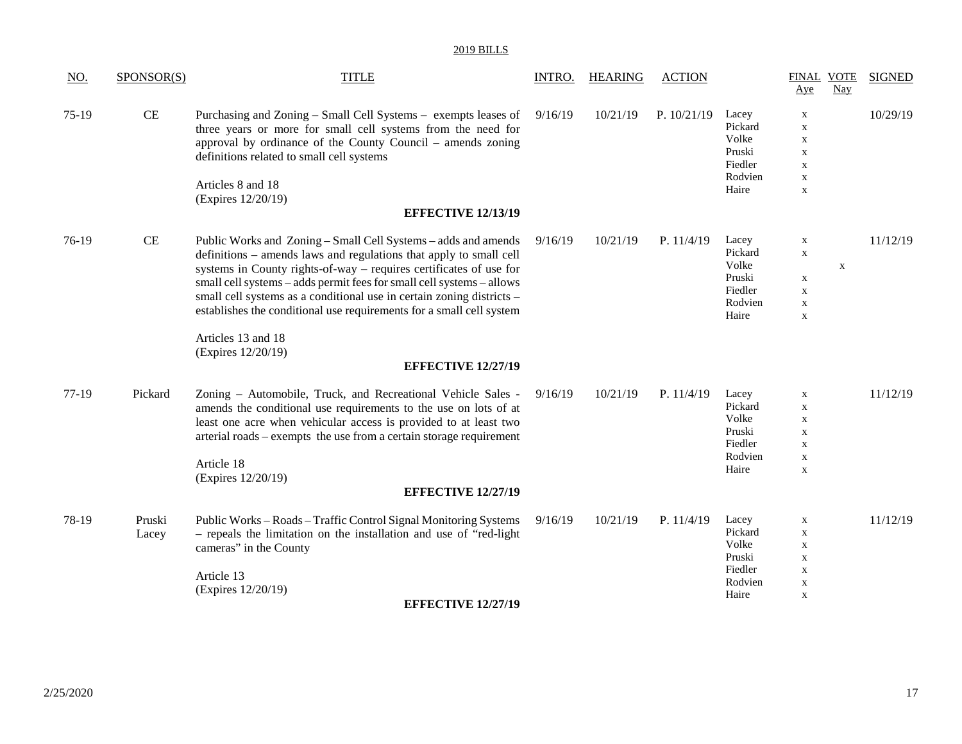| $\underline{NO}$ . | SPONSOR(S) | <b>TITLE</b>                                                          | INTRO.  | <b>HEARING</b> | <b>ACTION</b> |                  | <b>FINAL VOTE</b><br>Aye | <b>Nay</b>  | <b>SIGNED</b> |
|--------------------|------------|-----------------------------------------------------------------------|---------|----------------|---------------|------------------|--------------------------|-------------|---------------|
| 75-19              | <b>CE</b>  | Purchasing and Zoning – Small Cell Systems – exempts leases of        | 9/16/19 | 10/21/19       | P. $10/21/19$ | Lacey            | X                        |             | 10/29/19      |
|                    |            | three years or more for small cell systems from the need for          |         |                |               | Pickard          | $\mathbf X$              |             |               |
|                    |            | approval by ordinance of the County Council – amends zoning           |         |                |               | Volke            | $\mathbf X$              |             |               |
|                    |            | definitions related to small cell systems                             |         |                |               | Pruski           | $\mathbf X$              |             |               |
|                    |            |                                                                       |         |                |               | Fiedler          | $\mathbf X$              |             |               |
|                    |            | Articles 8 and 18                                                     |         |                |               | Rodvien<br>Haire | $\mathbf X$              |             |               |
|                    |            | (Expires 12/20/19)                                                    |         |                |               |                  | $\mathbf X$              |             |               |
|                    |            | <b>EFFECTIVE 12/13/19</b>                                             |         |                |               |                  |                          |             |               |
| 76-19              | <b>CE</b>  | Public Works and Zoning – Small Cell Systems – adds and amends        | 9/16/19 | 10/21/19       | P. 11/4/19    | Lacey            | $\mathbf X$              |             | 11/12/19      |
|                    |            | definitions – amends laws and regulations that apply to small cell    |         |                |               | Pickard          | $\mathbf X$              |             |               |
|                    |            | systems in County rights-of-way – requires certificates of use for    |         |                |               | Volke            |                          | $\mathbf X$ |               |
|                    |            | small cell systems - adds permit fees for small cell systems - allows |         |                |               | Pruski           | $\mathbf X$              |             |               |
|                    |            | small cell systems as a conditional use in certain zoning districts - |         |                |               | Fiedler          | $\mathbf X$              |             |               |
|                    |            | establishes the conditional use requirements for a small cell system  |         |                |               | Rodvien          | $\mathbf X$              |             |               |
|                    |            |                                                                       |         |                |               | Haire            | $\mathbf X$              |             |               |
|                    |            | Articles 13 and 18<br>(Expires 12/20/19)                              |         |                |               |                  |                          |             |               |
|                    |            | <b>EFFECTIVE 12/27/19</b>                                             |         |                |               |                  |                          |             |               |
| 77-19              | Pickard    | Zoning - Automobile, Truck, and Recreational Vehicle Sales -          | 9/16/19 | 10/21/19       | P. 11/4/19    | Lacey            | $\mathbf X$              |             | 11/12/19      |
|                    |            | amends the conditional use requirements to the use on lots of at      |         |                |               | Pickard          | $\mathbf X$              |             |               |
|                    |            | least one acre when vehicular access is provided to at least two      |         |                |               | Volke            | $\mathbf X$              |             |               |
|                    |            | arterial roads – exempts the use from a certain storage requirement   |         |                |               | Pruski           | $\mathbf X$              |             |               |
|                    |            |                                                                       |         |                |               | Fiedler          | $\mathbf X$              |             |               |
|                    |            | Article 18                                                            |         |                |               | Rodvien          | $\mathbf X$              |             |               |
|                    |            | (Expires 12/20/19)                                                    |         |                |               | Haire            | $\mathbf X$              |             |               |
|                    |            | <b>EFFECTIVE 12/27/19</b>                                             |         |                |               |                  |                          |             |               |
| 78-19              | Pruski     | Public Works - Roads - Traffic Control Signal Monitoring Systems      | 9/16/19 | 10/21/19       | P. 11/4/19    | Lacey            | $\mathbf X$              |             | 11/12/19      |
|                    | Lacey      | - repeals the limitation on the installation and use of "red-light"   |         |                |               | Pickard          | $\mathbf X$              |             |               |
|                    |            | cameras" in the County                                                |         |                |               | Volke            | $\mathbf X$              |             |               |
|                    |            |                                                                       |         |                |               | Pruski           | $\mathbf X$              |             |               |
|                    |            | Article 13                                                            |         |                |               | Fiedler          | $\mathbf X$              |             |               |
|                    |            | (Expires 12/20/19)                                                    |         |                |               | Rodvien          | $\mathbf X$              |             |               |
|                    |            | <b>EFFECTIVE 12/27/19</b>                                             |         |                |               | Haire            | $\mathbf X$              |             |               |
|                    |            |                                                                       |         |                |               |                  |                          |             |               |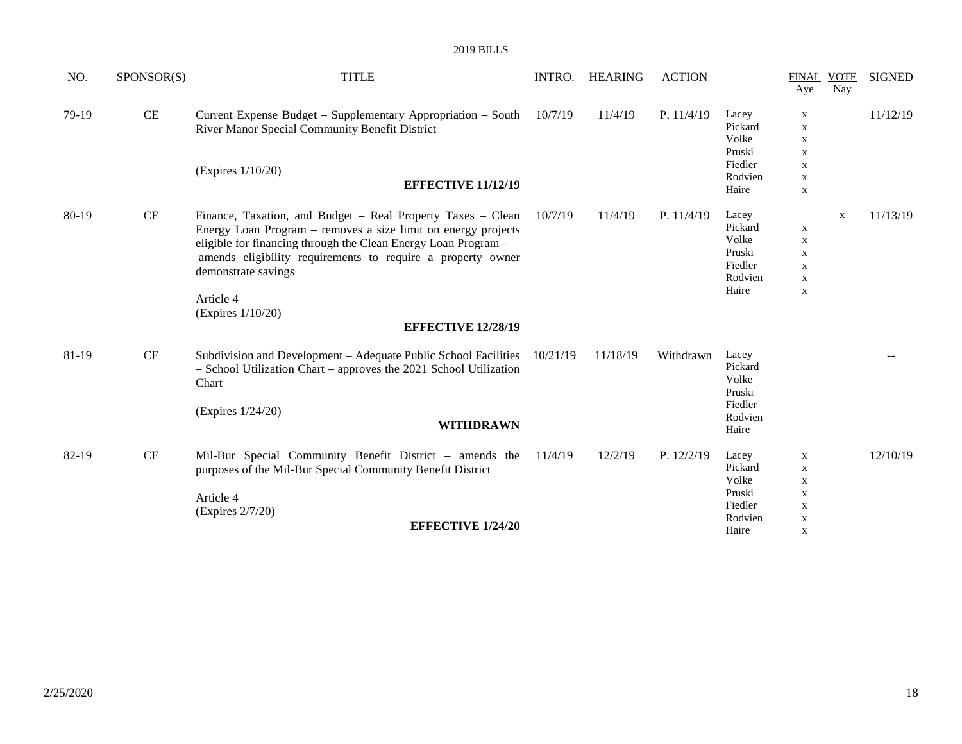| <u>NO.</u> | SPONSOR(S) | <b>TITLE</b>                                                                                                                                                                                                                                                                                                                                           | INTRO.   | <b>HEARING</b> | <b>ACTION</b> |                                                                    | <b>FINAL VOTE</b><br>Aye                                                                    | Nay         | <b>SIGNED</b> |
|------------|------------|--------------------------------------------------------------------------------------------------------------------------------------------------------------------------------------------------------------------------------------------------------------------------------------------------------------------------------------------------------|----------|----------------|---------------|--------------------------------------------------------------------|---------------------------------------------------------------------------------------------|-------------|---------------|
| 79-19      | CE         | Current Expense Budget - Supplementary Appropriation - South<br>River Manor Special Community Benefit District                                                                                                                                                                                                                                         | 10/7/19  | 11/4/19        | P. 11/4/19    | Lacey<br>Pickard<br>Volke<br>Pruski                                | X<br>$\mathbf X$<br>$\mathbf X$<br>$\mathbf X$                                              |             | 11/12/19      |
|            |            | (Expires 1/10/20)<br><b>EFFECTIVE 11/12/19</b>                                                                                                                                                                                                                                                                                                         |          |                |               | Fiedler<br>Rodvien<br>Haire                                        | $\mathbf X$<br>$\mathbf X$<br>$\mathbf X$                                                   |             |               |
| 80-19      | <b>CE</b>  | Finance, Taxation, and Budget – Real Property Taxes – Clean<br>Energy Loan Program – removes a size limit on energy projects<br>eligible for financing through the Clean Energy Loan Program -<br>amends eligibility requirements to require a property owner<br>demonstrate savings<br>Article 4<br>(Expires $1/10/20$ )<br><b>EFFECTIVE 12/28/19</b> | 10/7/19  | 11/4/19        | P. 11/4/19    | Lacey<br>Pickard<br>Volke<br>Pruski<br>Fiedler<br>Rodvien<br>Haire | X<br>$\mathbf X$<br>$\mathbf X$<br>$\mathbf X$<br>$\mathbf X$<br>$\mathbf X$                | $\mathbf X$ | 11/13/19      |
| 81-19      | CE         | Subdivision and Development – Adequate Public School Facilities<br>- School Utilization Chart - approves the 2021 School Utilization<br>Chart<br>(Expires 1/24/20)<br><b>WITHDRAWN</b>                                                                                                                                                                 | 10/21/19 | 11/18/19       | Withdrawn     | Lacey<br>Pickard<br>Volke<br>Pruski<br>Fiedler<br>Rodvien<br>Haire |                                                                                             |             |               |
| 82-19      | CE         | Mil-Bur Special Community Benefit District - amends the<br>purposes of the Mil-Bur Special Community Benefit District<br>Article 4<br>(Expires 2/7/20)<br><b>EFFECTIVE 1/24/20</b>                                                                                                                                                                     | 11/4/19  | 12/2/19        | P. $12/2/19$  | Lacey<br>Pickard<br>Volke<br>Pruski<br>Fiedler<br>Rodvien<br>Haire | X<br>$\mathbf X$<br>$\mathbf X$<br>$\mathbf X$<br>$\mathbf X$<br>$\mathbf X$<br>$\mathbf X$ |             | 12/10/19      |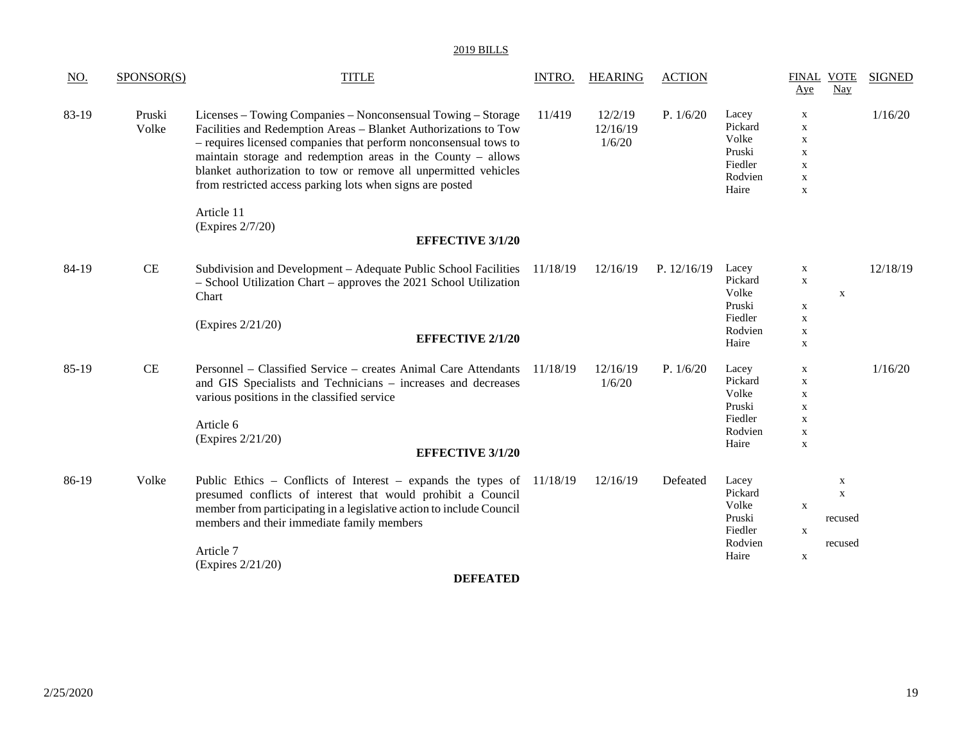| <u>NO.</u> | SPONSOR(S)      | <b>TITLE</b>                                                                                                                                                                                                                                                                                                                                                                                        | INTRO.   | <b>HEARING</b>                | <b>ACTION</b> |                                                                    | <b>FINAL VOTE</b><br>Aye                                                                              | Nay                                              | <b>SIGNED</b> |
|------------|-----------------|-----------------------------------------------------------------------------------------------------------------------------------------------------------------------------------------------------------------------------------------------------------------------------------------------------------------------------------------------------------------------------------------------------|----------|-------------------------------|---------------|--------------------------------------------------------------------|-------------------------------------------------------------------------------------------------------|--------------------------------------------------|---------------|
| 83-19      | Pruski<br>Volke | Licenses – Towing Companies – Nonconsensual Towing – Storage<br>Facilities and Redemption Areas - Blanket Authorizations to Tow<br>- requires licensed companies that perform nonconsensual tows to<br>maintain storage and redemption areas in the County - allows<br>blanket authorization to tow or remove all unpermitted vehicles<br>from restricted access parking lots when signs are posted | 11/419   | 12/2/19<br>12/16/19<br>1/6/20 | P. 1/6/20     | Lacey<br>Pickard<br>Volke<br>Pruski<br>Fiedler<br>Rodvien<br>Haire | $\mathbf X$<br>$\mathbf X$<br>$\mathbf X$<br>$\mathbf X$<br>$\mathbf X$<br>$\mathbf X$<br>$\mathbf X$ |                                                  | 1/16/20       |
|            |                 | Article 11<br>(Expires 2/7/20)<br><b>EFFECTIVE 3/1/20</b>                                                                                                                                                                                                                                                                                                                                           |          |                               |               |                                                                    |                                                                                                       |                                                  |               |
| 84-19      | CE              | Subdivision and Development - Adequate Public School Facilities<br>- School Utilization Chart - approves the 2021 School Utilization<br>Chart<br>(Expires 2/21/20)<br><b>EFFECTIVE 2/1/20</b>                                                                                                                                                                                                       | 11/18/19 | 12/16/19                      | P. $12/16/19$ | Lacey<br>Pickard<br>Volke<br>Pruski<br>Fiedler<br>Rodvien<br>Haire | $\mathbf X$<br>$\mathbf X$<br>$\mathbf X$<br>$\mathbf x$<br>$\mathbf X$<br>$\mathbf X$                | $\mathbf X$                                      | 12/18/19      |
| 85-19      | CE              | Personnel – Classified Service – creates Animal Care Attendants 11/18/19<br>and GIS Specialists and Technicians - increases and decreases<br>various positions in the classified service<br>Article 6<br>(Expires 2/21/20)<br><b>EFFECTIVE 3/1/20</b>                                                                                                                                               |          | 12/16/19<br>1/6/20            | P. $1/6/20$   | Lacey<br>Pickard<br>Volke<br>Pruski<br>Fiedler<br>Rodvien<br>Haire | $\mathbf X$<br>$\mathbf X$<br>$\mathbf X$<br>$\mathbf X$<br>$\mathbf X$<br>$\mathbf X$<br>$\mathbf X$ |                                                  | 1/16/20       |
| 86-19      | Volke           | Public Ethics - Conflicts of Interest - expands the types of $11/18/19$<br>presumed conflicts of interest that would prohibit a Council<br>member from participating in a legislative action to include Council<br>members and their immediate family members<br>Article 7<br>(Expires 2/21/20)                                                                                                     |          | 12/16/19                      | Defeated      | Lacey<br>Pickard<br>Volke<br>Pruski<br>Fiedler<br>Rodvien<br>Haire | $\mathbf x$<br>$\mathbf X$<br>$\mathbf X$                                                             | $\mathbf X$<br>$\mathbf X$<br>recused<br>recused |               |
|            |                 | <b>DEFEATED</b>                                                                                                                                                                                                                                                                                                                                                                                     |          |                               |               |                                                                    |                                                                                                       |                                                  |               |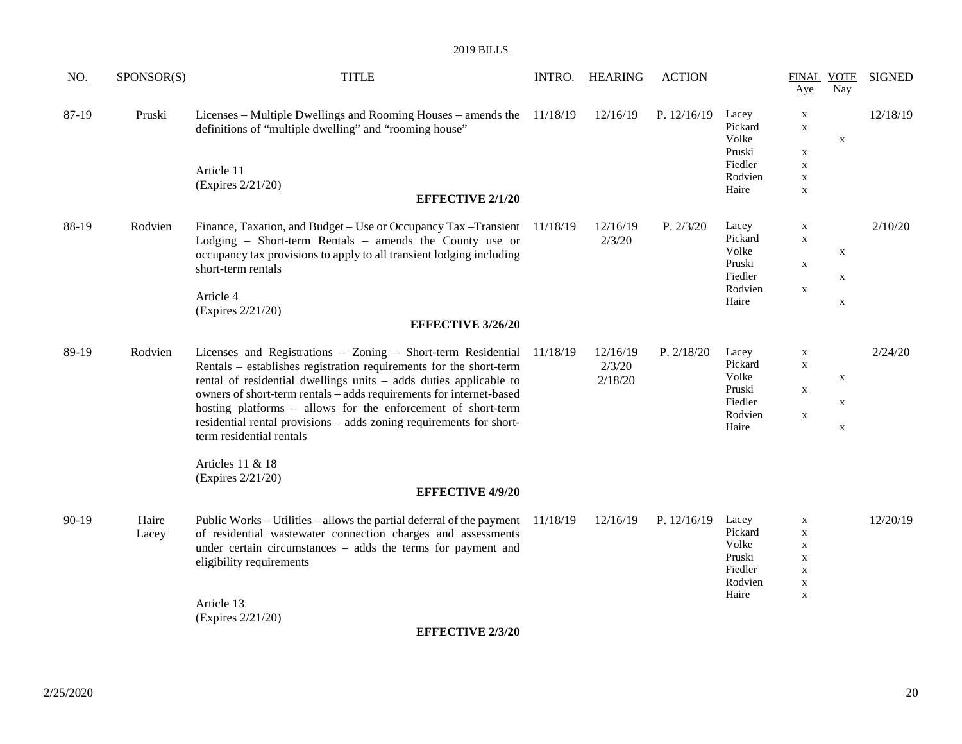| <u>NO.</u> | SPONSOR(S)     | <b>TITLE</b>                                                                                                                                                                                                                                                                                                                                                                                                                                                                                                          | <b>INTRO.</b> | <b>HEARING</b>                | <b>ACTION</b> |                                                                    | Aye                                                                                                   | <b>FINAL VOTE</b><br>Nay                  | <b>SIGNED</b> |
|------------|----------------|-----------------------------------------------------------------------------------------------------------------------------------------------------------------------------------------------------------------------------------------------------------------------------------------------------------------------------------------------------------------------------------------------------------------------------------------------------------------------------------------------------------------------|---------------|-------------------------------|---------------|--------------------------------------------------------------------|-------------------------------------------------------------------------------------------------------|-------------------------------------------|---------------|
| 87-19      | Pruski         | Licenses – Multiple Dwellings and Rooming Houses – amends the 11/18/19<br>definitions of "multiple dwelling" and "rooming house"                                                                                                                                                                                                                                                                                                                                                                                      |               | 12/16/19                      | P. $12/16/19$ | Lacey<br>Pickard<br>Volke<br>Pruski<br>Fiedler                     | $\mathbf X$<br>$\mathbf X$<br>X<br>$\mathbf X$                                                        | $\mathbf X$                               | 12/18/19      |
|            |                | Article 11<br>(Expires 2/21/20)<br><b>EFFECTIVE 2/1/20</b>                                                                                                                                                                                                                                                                                                                                                                                                                                                            |               |                               |               | Rodvien<br>Haire                                                   | $\mathbf X$<br>$\mathbf X$                                                                            |                                           |               |
| 88-19      | Rodvien        | Finance, Taxation, and Budget – Use or Occupancy Tax – Transient 11/18/19<br>Lodging - Short-term Rentals - amends the County use or<br>occupancy tax provisions to apply to all transient lodging including<br>short-term rentals<br>Article 4<br>(Expires 2/21/20)<br><b>EFFECTIVE 3/26/20</b>                                                                                                                                                                                                                      |               | 12/16/19<br>2/3/20            | P. 2/3/20     | Lacey<br>Pickard<br>Volke<br>Pruski<br>Fiedler<br>Rodvien<br>Haire | $\mathbf X$<br>$\mathbf X$<br>$\mathbf X$<br>$\mathbf X$                                              | $\mathbf X$<br>$\mathbf X$<br>$\mathbf X$ | 2/10/20       |
| 89-19      | Rodvien        | Licenses and Registrations - Zoning - Short-term Residential<br>Rentals – establishes registration requirements for the short-term<br>rental of residential dwellings units - adds duties applicable to<br>owners of short-term rentals - adds requirements for internet-based<br>hosting platforms - allows for the enforcement of short-term<br>residential rental provisions - adds zoning requirements for short-<br>term residential rentals<br>Articles 11 & 18<br>(Expires 2/21/20)<br><b>EFFECTIVE 4/9/20</b> | 11/18/19      | 12/16/19<br>2/3/20<br>2/18/20 | P. 2/18/20    | Lacey<br>Pickard<br>Volke<br>Pruski<br>Fiedler<br>Rodvien<br>Haire | $\mathbf X$<br>$\mathbf X$<br>$\mathbf X$<br>$\mathbf X$                                              | $\mathbf X$<br>$\mathbf X$<br>$\mathbf X$ | 2/24/20       |
| $90-19$    | Haire<br>Lacey | Public Works – Utilities – allows the partial deferral of the payment 11/18/19<br>of residential wastewater connection charges and assessments<br>under certain circumstances – adds the terms for payment and<br>eligibility requirements<br>Article 13<br>(Expires 2/21/20)<br><b>EFFECTIVE 2/3/20</b>                                                                                                                                                                                                              |               | 12/16/19                      | P. $12/16/19$ | Lacey<br>Pickard<br>Volke<br>Pruski<br>Fiedler<br>Rodvien<br>Haire | $\mathbf X$<br>$\mathbf X$<br>$\mathbf X$<br>$\mathbf X$<br>$\mathbf X$<br>$\mathbf X$<br>$\mathbf X$ |                                           | 12/20/19      |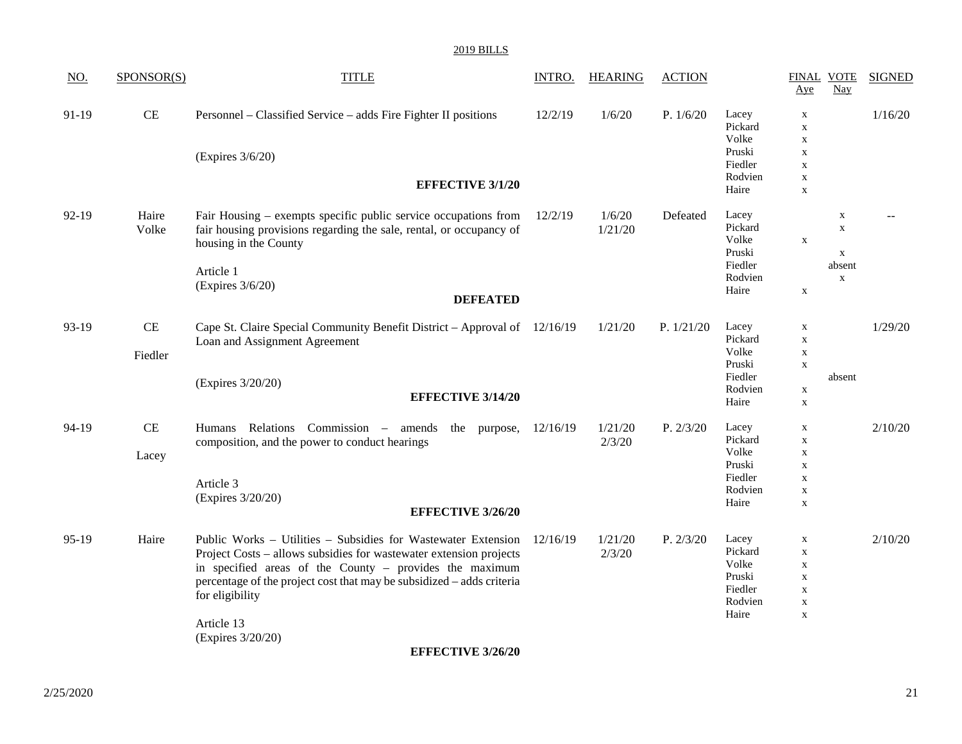| <u>NO.</u> | SPONSOR(S)                   | <b>TITLE</b>                                                                                                                                                                                                                                                                                                                  | <b>INTRO.</b> | <b>HEARING</b>    | <b>ACTION</b> |                                                                    | <b>FINAL VOTE</b><br>Aye                                                                              | $\frac{\text{Nay}}{\text{day}}$                                    | <b>SIGNED</b> |
|------------|------------------------------|-------------------------------------------------------------------------------------------------------------------------------------------------------------------------------------------------------------------------------------------------------------------------------------------------------------------------------|---------------|-------------------|---------------|--------------------------------------------------------------------|-------------------------------------------------------------------------------------------------------|--------------------------------------------------------------------|---------------|
| 91-19      | $\!$ $\!$                    | Personnel – Classified Service – adds Fire Fighter II positions<br>(Expires 3/6/20)<br><b>EFFECTIVE 3/1/20</b>                                                                                                                                                                                                                | 12/2/19       | 1/6/20            | P. $1/6/20$   | Lacey<br>Pickard<br>Volke<br>Pruski<br>Fiedler<br>Rodvien<br>Haire | $\mathbf X$<br>$\mathbf X$<br>$\mathbf X$<br>$\mathbf X$<br>$\mathbf X$<br>$\mathbf X$<br>$\mathbf X$ |                                                                    | 1/16/20       |
| $92-19$    | Haire<br>Volke               | Fair Housing – exempts specific public service occupations from<br>fair housing provisions regarding the sale, rental, or occupancy of<br>housing in the County<br>Article 1<br>(Expires 3/6/20)<br><b>DEFEATED</b>                                                                                                           | 12/2/19       | 1/6/20<br>1/21/20 | Defeated      | Lacey<br>Pickard<br>Volke<br>Pruski<br>Fiedler<br>Rodvien<br>Haire | $\mathbf X$<br>$\mathbf X$                                                                            | $\mathbf X$<br>$\mathbf X$<br>$\mathbf X$<br>absent<br>$\mathbf X$ |               |
| 93-19      | CE<br>Fiedler                | Cape St. Claire Special Community Benefit District – Approval of 12/16/19<br>Loan and Assignment Agreement<br>(Expires 3/20/20)<br><b>EFFECTIVE 3/14/20</b>                                                                                                                                                                   |               | 1/21/20           | P. 1/21/20    | Lacey<br>Pickard<br>Volke<br>Pruski<br>Fiedler<br>Rodvien<br>Haire | $\mathbf X$<br>$\mathbf X$<br>$\mathbf X$<br>$\mathbf X$<br>$\mathbf X$<br>$\mathbf X$                | absent                                                             | 1/29/20       |
| 94-19      | $\operatorname{CE}$<br>Lacey | Humans Relations Commission - amends<br>the purpose,<br>composition, and the power to conduct hearings<br>Article 3<br>(Expires 3/20/20)<br><b>EFFECTIVE 3/26/20</b>                                                                                                                                                          | 12/16/19      | 1/21/20<br>2/3/20 | P. 2/3/20     | Lacey<br>Pickard<br>Volke<br>Pruski<br>Fiedler<br>Rodvien<br>Haire | $\mathbf X$<br>$\mathbf X$<br>$\mathbf X$<br>$\mathbf X$<br>$\mathbf X$<br>$\mathbf X$<br>$\mathbf X$ |                                                                    | 2/10/20       |
| 95-19      | Haire                        | Public Works - Utilities - Subsidies for Wastewater Extension<br>Project Costs – allows subsidies for wastewater extension projects<br>in specified areas of the County - provides the maximum<br>percentage of the project cost that may be subsidized – adds criteria<br>for eligibility<br>Article 13<br>(Expires 3/20/20) | 12/16/19      | 1/21/20<br>2/3/20 | P. 2/3/20     | Lacey<br>Pickard<br>Volke<br>Pruski<br>Fiedler<br>Rodvien<br>Haire | $\mathbf X$<br>$\mathbf X$<br>$\mathbf X$<br>$\mathbf X$<br>$\mathbf X$<br>$\mathbf X$<br>$\mathbf X$ |                                                                    | 2/10/20       |

**EFFECTIVE 3/26/20**